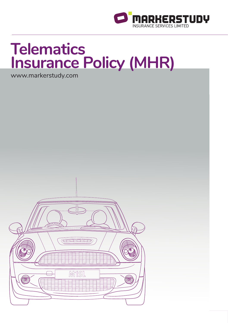

# **Telematics Insurance Policy (MHR)**

www.markerstudy.com

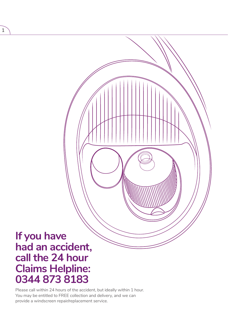# **If you have**  had an accident,<br>call the 24 hour **Claims Helpline: 0344 873 8183**

Please call within 24 hours of the accident, but ideally within 1 hour. You may be entitled to FREE collection and delivery, and we can provide a windscreen repair/replacement service.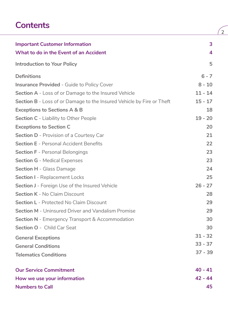### **Contents**

| <b>Important Customer Information</b><br>What to do in the Event of an Accident | 3<br>4    |
|---------------------------------------------------------------------------------|-----------|
| <b>Introduction to Your Policy</b>                                              | 5         |
| <b>Definitions</b>                                                              | $6 - 7$   |
| <b>Insurance Provided - Guide to Policy Cover</b>                               | $8 - 10$  |
| Section A - Loss of or Damage to the Insured Vehicle                            | $11 - 14$ |
| Section B - Loss of or Damage to the Insured Vehicle by Fire or Theft           | $15 - 17$ |
| <b>Exceptions to Sections A &amp; B</b>                                         | 18        |
| Section C - Liability to Other People                                           | $19 - 20$ |
| <b>Exceptions to Section C</b>                                                  | 20        |
| <b>Section D - Provision of a Courtesy Car</b>                                  | 21        |
| <b>Section E</b> - Personal Accident Benefits                                   | 22        |
| <b>Section F</b> - Personal Belongings                                          | 23        |
| <b>Section G - Medical Expenses</b>                                             | 23        |
| <b>Section H - Glass Damage</b>                                                 | 24        |
| <b>Section I</b> - Replacement Locks                                            | 25        |
| Section J - Foreign Use of the Insured Vehicle                                  | $26 - 27$ |
| <b>Section K - No Claim Discount</b>                                            | 28        |
| <b>Section L</b> - Protected No Claim Discount                                  | 29        |
| <b>Section M - Uninsured Driver and Vandalism Promise</b>                       | 29        |
| <b>Section N</b> - Emergency Transport & Accommodation                          | 30        |
| Section O - Child Car Seat                                                      | 30        |
| <b>General Exceptions</b>                                                       | $31 - 32$ |
| <b>General Conditions</b>                                                       | $33 - 37$ |
| <b>Telematics Conditions</b>                                                    | $37 - 39$ |
| <b>Our Service Commitment</b>                                                   | $40 - 41$ |
| How we use your information                                                     | $42 - 44$ |
| <b>Numbers to Call</b>                                                          | 45        |

 $\sqrt{2}$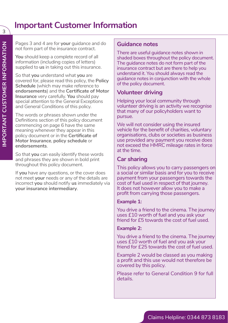### **Important Customer Information**

Pages 3 and 4 are for **your** guidance and do not form part of the insurance contract.

**You** should keep a complete record of all information (including copies of letters) supplied to **us** in taking out this insurance.

So that **you** understand what **you** are covered for, please read this policy, the **Policy Schedule** (which may make reference to **endorsements**) and the **Certificate of Motor Insurance** very carefully. **You** should pay special attention to the General Exceptions and General Conditions of this policy.

The words or phrases shown under the Definitions section of this policy document commencing on page 6 have the same meaning whenever they appear in this policy document or in the **Certificate of Motor Insurance**, **policy schedule** or **endorsements**.

So that **you** can easily identify these words and phrases they are shown in bold print throughout this policy document.

If **you** have any questions, or the cover does not meet **your** needs or any of the details are incorrect **you** should notify **us** immediately via **your insurance intermediary**.

### **Guidance notes**

There are useful guidance notes shown in shaded boxes throughout the policy document. The guidance notes do not form part of the insurance contract but are there to help you understand it. You should always read the guidance notes in conjunction with the whole of the policy document.

### **Volunteer driving**

Helping your local community through volunteer driving is an activity we recognise that many of our policyholders want to pursue.

We will not consider using the insured vehicle for the benefit of charities, voluntary organisations, clubs or societies as business use provided any payment you receive does not exceed the HMRC mileage rates in force at the time.

### **Car sharing**

This policy allows you to carry passengers on a social or similar basis and for you to receive payment from your passengers towards the cost of fuel used in respect of that journey. It does not however allow you to make a profit from carrying those passengers.

### **Example 1:**

You drive a friend to the cinema. The journey uses £10 worth of fuel and you ask your friend for £5 towards the cost of fuel used.

#### **Example 2:**

You drive a friend to the cinema. The journey uses £10 worth of fuel and you ask your friend for £25 towards the cost of fuel used.

Example 2 would be classed as you making a profit and this use would not therefore be covered by this policy.

Please refer to General Condition 9 for full details.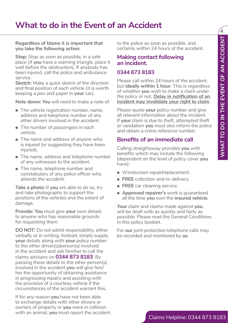### **What to do in the Event of an Accident**

**Regardless of blame it is important that you take the following action:**

**Stop:** Stop as soon as possible, in a safe place (if **you** have a warning triangle, place it well before the obstruction). If anybody has been injured, call the police and ambulance service.

**Sketch:** Make a quick sketch of the direction and final position of each vehicle (it is worth keeping a pen and paper in **your** car).

**Note down: You** will need to make a note of:

- The vehicle registration number, name, address and telephone number of any other drivers involved in the accident.
- The number of passengers in each vehicle.
- The name and address of anyone who is injured (or suggesting they have been injured).
- The name, address and telephone number of any witnesses to the accident.
- The name, telephone number and constabulary of any police officer who attends the accident.

**Take a photo:** If **you** are able to do so, try and take photographs to support the positions of the vehicles and the extent of damage.

**Provide: You** must give **your** own details to anyone who has reasonable grounds for requesting them.

**DO NOT:** Do not admit responsibility, either verbally or in writing. Instead, simply supply **your** details along with **your** policy number to the other driver(s)/person(s) involved in the accident and ask him/her to call the claims advisers on **0344 873 8183**. By passing these details to the other person(s) involved in the accident **you** will give him/ her the opportunity of obtaining assistance in progressing repairs and assisting with the provision of a courtesy vehicle if the circumstances of the accident warrant this.

If for any reason **you** have not been able to exchange details with other drivers or owners of property or **you** were in collision with an animal, **you** must report the accident to the police as soon as possible, and certainly within 24 hours of the accident.

### **Making contact following an incident.**

#### **0344 873 8183**

Please call within 24 hours of the accident. but **ideally within 1 hour**. This is regardless of whether **you** wish to make a claim under the policy or not. **Delay in notification of an incident may invalidate your right to claim**.

Please quote **your** policy number and give all relevant information about the incident. If **your** claim is due to theft, attempted theft or vandalism **you** must also inform the police and obtain a crime reference number.

### **Benefits of an immediate call**

Calling straightaway provides **you** with benefits which may include the following (dependent on the level of policy cover **you** have):

- Windscreen repair/replacement.
- **FREE** collection and re-delivery.
- **FREE** car cleaning service.
- **Approved repairer's** work is guaranteed all the time **you** own the **insured vehicle**.

**Your** claim and claims made against **you**, will be dealt with as quickly and fairly as possible. Please read the General Conditions in this policy booklet.

For **our** joint protection telephone calls may be recorded and monitored by **us**.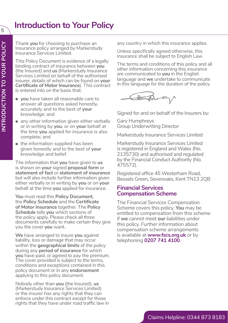### **Introduction to Your Policy**

Thank **you** for choosing to purchase an Insurance policy arranged by Markerstudy Insurance Services Limited.

This Policy Document is evidence of a legally binding contract of insurance between **you** (the Insured) and **us** (Markerstudy Insurance Services Limited on behalf of the authorised insurer, details of which can be found on **your Certificate of Motor Insurance**). This contract is entered into on the basis that:

- **you** have taken all reasonable care to answer all questions asked honestly, accurately and to the best of **your**  knowledge; and
- any other information given either verbally or in writing by **you**, or on **your** behalf at the time **you** applied for insurance is also complete; and
- the information supplied has been given honestly and to the best of **your** knowledge and belief.

The information that **you** have given to **us** is shown on **your** signed **proposal form** or **statement of fact** or **statement of insurance** but will also include further information given either verbally or in writing by **you** or on **your** behalf at the time **you** applied for insurance.

**You** must read this **Policy Document**, the **Policy Schedule** and the **Certificate of Motor Insurance** together. The **Policy Schedule** tells **you** which sections of the policy apply. Please check all three documents carefully to make certain they give you the cover **you** want.

**We** have arranged to insure **you** against liability, loss or damage that may occur within the **geographical limits** of the policy during any **period of insurance** for which **you** have paid, or agreed to pay the premium. The cover provided is subject to the terms, conditions and exceptions contained in this policy document or in any **endorsement** applying to this policy document.

Nobody other than **you** (the Insured), **us** (Markerstudy Insurance Services Limited) or the insurer has any rights that they can enforce under this contract except for those rights that they have under road traffic law in any country in which this insurance applies.

Unless specifically agreed otherwise, this insurance shall be subject to English Law.

The terms and conditions of this policy and all other information concerning this insurance are communicated to **you** in the English language and **we** undertake to communicate in this language for the duration of the policy.



Signed for and on behalf of the Insurers by:

Gary Humphreys Group Underwriting Director

Markerstudy Insurance Services Limited

Markerstudy Insurance Services Limited is registered in England and Wales (No. 2135730) and authorised and regulated by the Financial Conduct Authority (No. 475572).

Registered office 45 Westerham Road, Bessels Green, Sevenoaks, Kent TN13 2QB

# **Financial Services Compensation Scheme**

The Financial Services Compensation Scheme covers this policy. **You** may be entitled to compensation from this scheme if **we** cannot meet **our** liabilities under this policy. Further information about compensation scheme arrangements is available at **www.fscs.org.uk** or by telephoning **0207 741 4100**.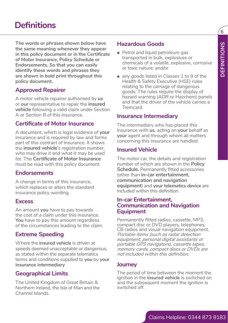**The words or phrases shown below have the same meaning whenever they appear in this policy document or in the Certificate of Motor Insurance, Policy Schedule or Endorsements. So that you can easily identify these words and phrases they are shown in bold print throughout this policy document.**

### **Approved Repairer**

A motor vehicle repairer authorised by **us** or **our** representative to repair the **insured vehicle** following a valid claim under Section A or Section B of this insurance.

### **Certificate of Motor Insurance**

A document, which is legal evidence of **your** insurance and is required by law and forms part of this contract of insurance. It shows the **insured vehicle**'s registration number, who may drive it and what it may be used for. The **Certificate of Motor Insurance** must be read with this policy document.

### **Endorsements**

A change in terms of this insurance, which replaces or alters the standard insurance policy wording.

### **Excess**

An amount **you** have to pay towards the cost of a claim under this insurance. **You** have to pay this amount regardless of the circumstances leading to the claim.

### **Extreme Speeding**

Where the **insured vehicle** is driven at speeds deemed unacceptable or dangerous, as stated within the separate telematics terms and conditions supplied to **you** by **your insurance intermediary**

### **Geographical Limits**

The United Kingdom of Great Britain & Northern Ireland, the Isle of Man and the Channel Islands.

### **Hazardous Goods**

- Petrol and liquid petroleum gas transported in bulk, explosives or chemicals of a volatile, explosive, corrosive or toxic nature; and/or
- any goods listed in Classes 1 to 9 of the Health & Safety Executive (HSE) rules relating to the carriage of dangerous goods. The rules require the display of hazard warning (ADR or Hazchem) panels and that the driver of the vehicle carries a **Tremcard**

### **Insurance Intermediary**

The intermediary who has placed this insurance with **us**, acting on **your** behalf as **your** agent and through whom all matters concerning this insurance are handled.

### **Insured Vehicle**

The motor car, the details and registration number of which are shown in the **Policy Schedule.** Permanently fitted accessories (other than **in-car entertainment, communication and navigation equipment**) and **your telematics device** are included within this definition.

### **In-car Entertainment, Communication and Navigation Equipment**

Permanently fitted radios, cassette, MP3, compact disc or DVD players, telephones, CB radios and visual navigation equipment. Portable items (such as radar detection equipment, personal digital assistants or portable GPS navigators), cassette tapes, memory cards, compact discs or DVDs are not included within this definition.

### **Journey**

The period of time between the moment the ignition in the **insured vehicle** is switched on and the subsequent moment the ignition is switched off.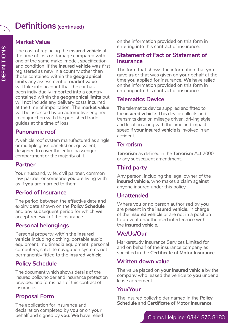### **Definitions(continued)**

### **Market Value**

The cost of replacing the **insured vehicle** at the time of loss or damage compared with one of the same make, model, specification and condition. If the **insured vehicle** was first registered as new in a country other than those contained within the **geographical limits** any assessment of **market value** will take into account that the car has been individually imported into a country contained within the **geographical limits** but will not include any delivery costs incurred at the time of importation. The **market value** will be assessed by an automotive engineer in conjunction with the published trade guides at the time of loss.

### **Panoramic roof**

A vehicle roof system manufactured as single or multiple glass panel(s) or equivalent, designed to cover the entire passenger compartment or the majority of it.

### **Partner**

**Your** husband, wife, civil partner, common law partner or someone **you** are living with as if **you** are married to them.

### **Period of Insurance**

The period between the effective date and expiry date shown on the **Policy Schedule** and any subsequent period for which **we** accept renewal of the insurance.

### **Personal belongings**

Personal property within the **insured vehicle** including clothing, portable audio equipment, multimedia equipment, personal computers, satellite navigation systems not permanently fitted to the **insured vehicle**.

### **Policy Schedule**

The document which shows details of the insured policyholder and insurance protection provided and forms part of this contract of insurance.

### **Proposal Form**

The application for insurance and declaration completed by **you** or on **your** behalf and signed by **you**. **We** have relied on the information provided on this form in entering into this contract of insurance.

### **Statement of Fact or Statement of Insurance**

The form that shows the information that **you** gave **us** or that was given on **your** behalf at the time **you** applied for insurance. **We** have relied on the information provided on this form in entering into this contract of insurance.

### **Telematics Device**

The telematics device supplied and fitted to the **insured vehicle**. This device collects and transmits data on mileage driven, driving style and location along with the time and impact speed if **your insured vehicle** is involved in an accident.

### **Terrorism**

**Terrorism** as defined in the **Terrorism** Act 2000 or any subsequent amendment.

### **Third party**

Any person, including the legal owner of the **insured vehicle**, who makes a claim against anyone insured under this policy.

### **Unattended**

Where **you** or no person authorised by **you** are present in the **insured vehicle**, in charge of the i**nsured vehicle** or are not in a position to prevent unauthorised interference with the **insured vehicle**.

### **We/Us/Our**

Markerstudy Insurance Services Limited for and on behalf of the insurance company as specified in the **Certificate of Motor Insurance**.

### **Written down value**

The value placed on **your insured vehicle** by the company who leased the vehicle to **you** under a lease agreement.

### **You/Your**

The insured policyholder named in the **Policy Schedule** and **Certificate of Motor Insurance**.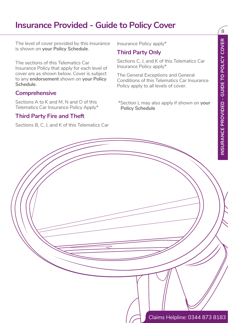### **Insurance Provided - Guide to Policy Cover**

The level of cover provided by this insurance is shown on **your Policy Schedule**.

The sections of this Telematics Car Insurance Policy that apply for each level of cover are as shown below. Cover is subject to any **endorsement** shown on **your Policy Schedule**.

### **Comprehensive**

Sections A to K and M, N and O of this Telematics Car Insurance Policy Apply\*

### **Third Party Fire and Theft**

Sections B, C, J, and K of this Telematics Car

Insurance Policy apply\*

### **Third Party Only**

Sections C, J, and K of this Telematics Car Insurance Policy apply\*

The General Exceptions and General Conditions of this Telematics Car Insurance Policy apply to all levels of cover.

 \*Section L may also apply if shown on **your Policy Schedule**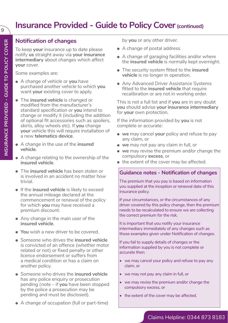### **Insurance Provided - Guide to Policy Cover (continued)**

9

### **Notification of changes**

To keep **your** insurance up to date please notify **us** straight away via **your insurance intermediary** about changes which affect **your** cover.

Some examples are:

- A change of vehicle or **you** have purchased another vehicle to which **you** want **your** existing cover to apply.
- The **insured vehicle** is changed or modified from the manufacturer's standard specification or **you** intend to change or modify it (including the addition of optional fit accessories such as spoilers, skirts, alloy wheels etc). If **you** change **your** vehicle this will require installation of a new **telematics device**.
- A change in the use of the **insured vehicle**.
- A change relating to the ownership of the **insured vehicle**.
- The **insured vehicle** has been stolen or is involved in an accident no matter how trivial.
- If the **insured vehicle** is likely to exceed the annual mileage declared at the commencement or renewal of the policy for which **you** may have received a premium discount.
- Any change in the main user of the **insured vehicle**.
- **You** wish a new driver to be covered.
- Someone who drives the **insured vehicle** is convicted of an offence (whether motor related or not) or fixed penalty or other licence endorsement or suffers from a medical condition or has a claim on another policy.
- Someone who drives the **insured vehicle** has any police enquiry or prosecution pending (note – if **you** have been stopped by the police a prosecution may be pending and must be disclosed).
- A change of occupation (full or part-time)

by **you** or any other driver.

- A change of postal address.
- A change of garaging facilities and/or where the **insured vehicle** is normally kept overnight.
- The security system fitted to the **insured vehicle** is no longer in operation.
- Any Advanced Driver Assistance Systems fitted to the **insured vehicle** that require recalibration or are not in working order.

This is not a full list and if **you** are in any doubt **you** should advise **your insurance intermediary** for **your** own protection.

If the information provided by **you** is not complete or accurate:

- **we** may cancel **your** policy and refuse to pay any claim, or
- **we** may not pay any claim in full, or
- **we** may revise the premium and/or change the compulsory **excess**, or
- the extent of the cover may be affected.

### **Guidance notes - Notification of changes**

The premium that you pay is based on information you supplied at the inception or renewal date of this insurance policy.

If your circumstances, or the circumstances of any driver covered by this policy change, then the premium needs to be recalculated to ensure we are collecting the correct premium for the risk.

It is important that you notify your insurance intermediary immediately of any changes such as those examples given under Notification of changes.

If you fail to supply details of changes or the information supplied by you is not complete or accurate then:

- we may cancel your policy and refuse to pay any claim, or
- we may not pay any claim in full, or
- we may revise the premium and/or change the compulsory excess, or
- the extent of the cover may be affected.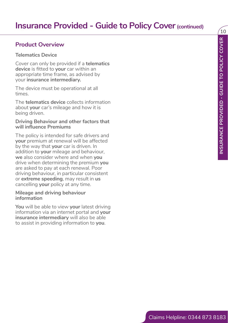### **Product Overview**

### **Telematics Device**

Cover can only be provided if a **telematics device** is fitted to **your** car within an appropriate time frame, as advised by your **insurance intermediary.**

The device must be operational at all times.

The **telematics device** collects information about **your** car's mileage and how it is being driven.

#### **Driving Behaviour and other factors that will influence Premiums**

The policy is intended for safe drivers and **your** premium at renewal will be affected by the way that **your** car is driven. In addition to **your** mileage and behaviour, **we** also consider where and when **you** drive when determining the premium **you** are asked to pay at each renewal. Poor driving behaviour, in particular consistent or **extreme speeding**, may result in **us** cancelling **your** policy at any time.

#### **Mileage and driving behaviour information**

**You** will be able to view **your** latest driving information via an internet portal and **your insurance intermediary** will also be able to assist in providing information to **you**.

Claims Helpline: 0344 873 8183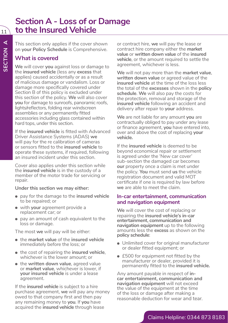11

### **Section A - Loss of or Damage to the Insured Vehicle**

This section only applies if the cover shown on **your Policy Schedule** is Comprehensive.

### **What is covered**

**We** will cover **you** against loss or damage to the **insured vehicle** (less any **excess** that applies) caused accidentally or as a result of malicious damage or vandalism. Loss or damage more specifically covered under Section B of this policy is excluded under this section of the policy. **We** will also cover **you** for damage to sunroofs, panoramic roofs, lights/reflectors, folding rear windscreen assemblies or any permanently fitted accessories including glass contained within hard tops, under this section.

If the **insured vehicle** is fitted with Advanced Driver Assistance Systems (ADAS) **we** will pay for the re calibration of cameras or sensors fitted to the **insured vehicle** to operate these systems, if required, following an insured incident under this section.

Cover also applies under this section while the **insured vehicle** is in the custody of a member of the motor trade for servicing or repair.

#### **Under this section we may either:**

- pay for the damage to the **insured vehicle**  to be repaired; or
- with **your** agreement provide a replacement car; or
- pay an amount of cash equivalent to the loss or damage.

The most **we** will pay will be either:

- the **market value** of the **insured vehicle** immediately before the loss; or
- the cost of repairing the **insured vehicle**, whichever is the lower amount; or
- the **written down value**, agreed value or **market value**, whichever is lower, if **your insured vehicle** is under a lease .<br>agreement.

If the **insured vehicle** is subject to a hire purchase agreement, **we** will pay any money owed to that company first and then pay any remaining money to **you**. If **you** have acquired the **insured vehicle** through lease

or contract hire, **we** will pay the lease or contract hire company either the **market value** or **written down value** of the **insured vehicle**, or the amount required to settle the agreement, whichever is less.

**We** will not pay more than the **market value**, **written down value** or agreed value of the **insured vehicle** at the time of the loss less the total of the **excesses** shown in the **policy schedule**. **We** will also pay the costs for the protection, removal and storage of the **insured vehicle** following an accident and delivery after repair to **your** address.

**We** are not liable for any amount **you** are contractually obliged to pay under any lease or finance agreement, **you** have entered into, over and above the cost of replacing **your vehicle.**

If the **insured vehicle** is deemed to be beyond economical repair or settlement is agreed under the 'New car cover' sub-section the damaged car becomes **our** property once a claim is met under the policy. **You** must send **us** the vehicle registration document and valid MOT certificate if one is required by law before **we** are able to meet the claim.

#### **In-car entertainment, communication and navigation equipment**

**We** will cover the cost of replacing or repairing the **insured vehicle's in-car entertainment, communication and navigation equipment** up to the following amounts less the **excess** as shown on the **policy schedule**:

- Unlimited cover for original manufacturer or dealer fitted equipment; or
- £500 for equipment not fitted by the manufacturer or dealer, provided it is permanently fitted to the **insured vehicle.**

Any amount payable in respect of **incar entertainment, communication and navigation equipment** will not exceed the value of the equipment at the time of the loss or damage after making a reasonable deduction for wear and tear.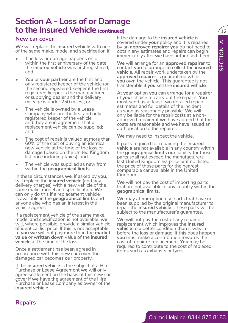### **Section A - Loss of or Damage to the Insured Vehicle (continued)** 12

### **New car cover**

**We** will replace the **insured vehicle** with one of the same make, model and specification if;

- The loss or damage happens on or within the first anniversary of the date the **insured vehicle** was first registered; and
- **• You** or **your partner** are the first and only registered keeper of the vehicle (or the second registered keeper if the first registered keeper is the manufacturer or supplying dealer and the delivery mileage is under 250 miles); or
- The vehicle is owned by a Lease Company who are the first and only registered keeper of the vehicle and they are in agreement that a replacement vehicle can be supplied; and
- The cost of repair is valued at more than 60% of the cost of buying an identical new vehicle at the time of the loss or damage (based on the United Kingdom list price including taxes); and
- The vehicle was supplied as new from within the **geographical limits**.

In these circumstances **we**, if asked by **you**, will replace the **insured vehicle** (and pay delivery charges) with a new vehicle of the same make, model and specification. **We** can only do this if a replacement vehicle is available in the **geographical limits** and anyone else who has an interest in the vehicle agrees.

If a replacement vehicle of the same make, model and specification is not available, **we** will, where possible, provide a similar vehicle of identical list price. If this is not acceptable to **you we** will not pay more than the **market value** or **written down** value of the **insured vehicle** at the time of the loss.

Once a settlement has been agreed in accordance with this new car cover, the damaged car becomes **our** property.

If the **insured vehicle** is the subject of a Hire Purchase or Lease Agreement **we** will only agree settlement on the basis of this new car cover if **we** have the agreement of the Hire Purchase or Lease Company as owner of the **insured vehicle**.

If the damage to the **insured vehicle** is covered under **your** policy and it is repaired by an **approved repairer you** do not need to obtain any estimates and repairs can begin immediately after **we** have authorised them.

**We** will arrange for an **approved repairer** to contact **you** to arrange to collect the **insured vehicle**. All repair work undertaken by the **approved repairer** is guaranteed while **you** own the vehicle. This guarantee is not transferable if **you** sell the **insured vehicle**.

We will require the interaction of the control interaction of the pair of the state interaction of the state of the pair of the state of the state of the state of the state of the state of the state of the state of the st At **your** option **you** can arrange for a repairer of **your** choice to carry out the repairs. **You** must send **us** at least two detailed repair estimates and full details of the incident as soon as reasonably possible. **We** will only be liable for the repair costs at a nonapproved repairer if we have agreed that the costs are reasonable and **we** have issued an authorisation to the repairer.

**We** may need to inspect the vehicle.

If parts required for repairing the **insured vehicle** are not available in any country within the **geographical limits our** liability for those parts shall not exceed the manufacturers' last United Kingdom list price or if not listed the price of those parts for the nearest comparable car available in the United Kingdom.

**We** will not pay the cost of importing parts that are not available in any country within the **geographical limits**.

**We** may at **our** option use parts that have not been supplied by the original manufacturer to repair the **insured vehicle**. These parts will be subject to the manufacturer's guarantee.

**We** will not pay the cost of any repair or replacement which improves the **insured vehicle** to a better condition than it was in before the loss or damage. If this does happen **you** must make a contribution towards the cost of repair or replacement. **You** may be required to contribute to the cost of replaced items such as exhausts or tyres.

### **Repairs**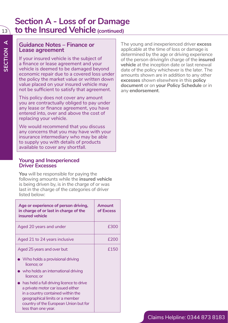### **Section A - Loss of or Damage**  13 **to the Insured Vehicle (continued)**

### **Guidance Notes – Finance or Lease agreement**

If your insured vehicle is the subject of a finance or lease agreement and your vehicle is deemed to be damaged beyond economic repair due to a covered loss under the policy the market value or written down value placed on your insured vehicle may not be sufficient to satisfy that agreement.

This policy does not cover any amount you are contractually obliged to pay under any lease or finance agreement, you have entered into, over and above the cost of replacing your vehicle.

We would recommend that you discuss any concerns that you may have with your insurance intermediary who may be able to supply you with details of products available to cover any shortfall.

#### **Young and Inexperienced Driver Excesses**

**You** will be responsible for paying the following amounts while the **insured vehicle** is being driven by, is in the charge of or was last in the charge of the categories of driver listed below:

| Age or experience of person driving,<br>in charge of or last in charge of the<br>insured vehicle                                                                                                                      | Amount<br>of Excess |
|-----------------------------------------------------------------------------------------------------------------------------------------------------------------------------------------------------------------------|---------------------|
| Aged 20 years and under                                                                                                                                                                                               | £300                |
| Aged 21 to 24 years inclusive                                                                                                                                                                                         | £200                |
| Aged 25 years and over but:                                                                                                                                                                                           | £150                |
| $\blacktriangleright$ Who holds a provisional driving<br>licence: or                                                                                                                                                  |                     |
| who holds an international driving<br>licence; or                                                                                                                                                                     |                     |
| has held a full driving licence to drive<br>a private motor car issued either<br>in a country contained within the<br>geographical limits or a member<br>country of the European Union but for<br>less than one year. |                     |

The young and inexperienced driver **excess**  applicable at the time of loss or damage is determined by the age or driving experience of the person driving/in charge of the **insured vehicle** at the inception date or last renewal date of the policy whichever is the later. The amounts shown are in addition to any other **excesses** shown elsewhere in this **policy document** or on **your Policy Schedule** or in any **endorsement**.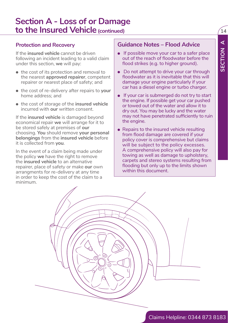### **Section A - Loss of or Damage to the Insured Vehicle (continued)** 14

### **Protection and Recovery**

If the **insured vehicle** cannot be driven following an incident leading to a valid claim under this section, **we** will pay:

- the cost of its protection and removal to the nearest **approved repairer**, competent repairer or nearest place of safety; and
- the cost of re-delivery after repairs to **your** home address; and
- the cost of storage of the **insured vehicle** incurred with **our** written consent.

If the **insured vehicle** is damaged beyond economical repair **we** will arrange for it to be stored safely at premises of **our** choosing. **You** should remove **your personal belongings** from the **insured vehicle** before it is collected from **you**.

In the event of a claim being made under the policy **we** have the right to remove the **insured vehicle** to an alternative repairer, place of safety or make **our** own arrangments for re-delivery at any time in order to keep the cost of the claim to a minimum.

### **Guidance Notes – Flood Advice**

- If possible move your car to a safer place out of the reach of floodwater before the flood strikes (e.g. to higher ground).
- Do not attempt to drive your car through floodwater as it is inevitable that this will damage your engine particularly if your car has a diesel engine or turbo charger.
- If your car is submerged do not try to start the engine. If possible get your car pushed or towed out of the water and allow it to dry out. You may be lucky and the water may not have penetrated sufficiently to ruin the engine.
- Repairs to the insured vehicle resulting from flood damage are covered if your policy cover is comprehensive but claims will be subject to the policy excesses. A comprehensive policy will also pay for towing as well as damage to upholstery, carpets and stereo systems resulting from flooding but only up to the limits shown within this document.

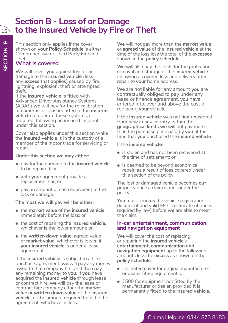### **Section B - Loss of or Damage to the Insured Vehicle by Fire or Theft**

This section only applies if the cover shown on **your Policy Schedule** is either Comprehensive or Third Party Fire and Theft.

### **What is covered**

**SECTION B**

SECTION

 $\mathbf{a}$ 

15

**We** will cover **you** against loss of or damage to the **insured vehicle** (less any **excess** that applies) caused by fire, lightning, explosion, theft or attempted theft.

If the **insured vehicle** is fitted with Advanced Driver Assistance Systems (ADAS) **we** will pay for the re calibration of cameras or sensors fitted to the **insured vehicle** to operate these systems, if required, following an insured incident under this section.

Cover also applies under this section while the **insured vehicle** is in the custody of a member of the motor trade for servicing or repair.

#### **Under this section we may either:**

- pay for the damage to the **insured vehicle**  to be repaired; or
- with **your** agreement provide a replacement car; or
- pay an amount of cash equivalent to the loss or damage.

#### **The most we will pay will be either:**

- the **market value** of the **insured vehicle** immediately before the loss; or
- the cost of repairing the **insured vehicle**, whichever is the lower amount; or
- the **written down value**, agreed value or **market value**, whichever is lower, if **your insured vehicle** is under a lease agreement.

If the **insured vehicle** is subject to a hire purchase agreement, **we** will pay any money owed to that company first and then pay any remaining money to **you.** If **you** have acquired the **insured vehicle** through lease or contract hire, **we** will pay the lease or contract hire company either the **market value** or **written down value** of the **insured vehicle**, or the amount required to settle the agreement, whichever is less.

**We** will not pay more than the **market value** or **agreed value** of the **insured vehicle** at the time of the loss less the total of the **excesses** shown in the **policy schedule**.

**We** will also pay the costs for the protection, removal and storage of the **insured vehicle** following a covered loss and delivery after repair to **your** home address.

**We** are not liable for any amount **you** are contractually obliged to pay under any lease or finance agreement, **you** have entered into, over and above the cost of replacing **your** vehicle.

If the **insured vehicle** was not first registered from new in any country within the **geographical limits we** will not pay more than the purchase price paid by **you** at the time that **you** purchased the **insured vehicle**.

If the **insured vehicle**:

- is stolen and has not been recovered at the time of settlement; or
- is deemed to be beyond economical repair, as a result of loss covered under this section of the policy.

The lost or damaged vehicle becomes **our** property once a claim is met under the policy.

**You** must send **us** the vehicle registration document and valid MOT certificate (if one is required by law) before **we** are able to meet the claim.

#### **In-car entertainment, communication and navigation equipment**

**We** will cover the cost of replacing or repairing the **insured vehicle**'s **entertainment, communication and navigation equipment** up to the following amounts less the **excess** as shown on the **policy schedule**:

- Unlimited cover for original manufacturer or dealer fitted equipment; or
- £500 for equipment not fitted by the manufacturer or dealer, provided it is permanently fitted to the **insured vehicle.**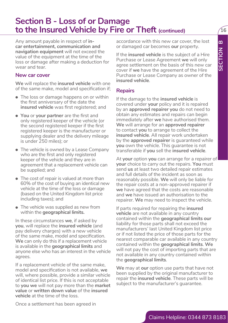### **Section B - Loss of or Damage to the Insured Vehicle by Fire or Theft (continued)**  $\sqrt{16}$

Any amount payable in respect of **incar entertainment, communication and navigation equipment** will not exceed the value of the equipment at the time of the loss or damage after making a deduction for wear and tear.

#### **New car cover**

**We** will replace the **insured vehicle** with one of the same make, model and specification if;

- The loss or damage happens on or within the first anniversary of the date the **insured vehicle** was first registered; and
- **You** or **your partner** are the first and only registered keeper of the vehicle (or the second registered keeper if the first registered keeper is the manufacturer or supplying dealer and the delivery mileage is under 250 miles); or
- The vehicle is owned by a Lease Company who are the first and only registered keeper of the vehicle and they are in agreement that a replacement vehicle can be supplied; and
- The cost of repair is valued at more than 60% of the cost of buying an identical new vehicle at the time of the loss or damage (based on the United Kingdom list price including taxes); and
- The vehicle was supplied as new from within the **geographical limits.**

In these circumstances **we**, if asked by **you**, will replace the **insured vehicle** (and pay delivery charges) with a new vehicle of the same make, model and specification. **We** can only do this if a replacement vehicle is available in the **geographical limits** and anyone else who has an interest in the vehicle agrees.

If a replacement vehicle of the same make, model and specification is not available, **we** will, where possible, provide a similar vehicle of identical list price. If this is not acceptable to **you we** will not pay more than the **market value** or **written down value** of the **insured vehicle** at the time of the loss.

accordance with this new car cover, the lost or damaged car becomes **our** property.

If the **insured vehicle** is the subject of a Hire Purchase or Lease Agreement **we** will only agree settlement on the basis of this new car cover if **we** have the agreement of the Hire Purchase or Lease Company as owner of the **insured vehicle**.

### **Repairs**

If the damage to the **insured vehicle** is covered under **your** policy and it is repaired by an **approved repairer you** do not need to obtain any estimates and repairs can begin immediately after **we** have authorised them. **We** will arrange for an **approved repairer** to contact **you** to arrange to collect the **insured vehicle**. All repair work undertaken by the **approved repairer** is guaranteed while **you** own the vehicle. This guarantee is not transferable if **you** sell the **insured vehicle**.

At **your** option **you** can arrange for a repairer of **your** choice to carry out the repairs. **You** must send **us** at least two detailed repair estimates and full details of the incident as soon as reasonably possible. **We** will only be liable for the repair costs at a non-approved repairer if **we** have agreed that the costs are reasonable and **we** have issued an authorisation to the repairer. **We** may need to inspect the vehicle.

Claims Helpline: The main of the control of the control of the control of the control of the control of the control of the control of the control of the control of the control of the control of the control of the control o If parts required for repairing the **insured vehicle** are not available in any country contained within the **geographical limits our** liability for those parts shall not exceed the manufacturers' last United Kingdom list price or if not listed the price of those parts for the nearest comparable car available in any country contained within the **geographical limits**. **We** will not pay the cost of importing parts that are not available in any country contained within the **geographical limits**.

**We** may at **our** option use parts that have not been supplied by the original manufacturer to repair the **insured vehicle**. These parts will be subject to the manufacturer's guarantee.

Once a settlement has been agreed in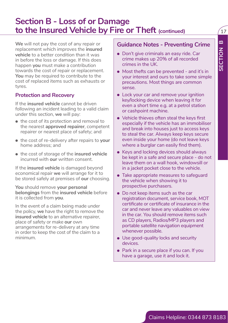### **Section B - Loss of or Damage to the Insured Vehicle by Fire or Theft (continued)**  $\sqrt{17}$

We will not pay the cost of any repair or<br>
replacement which improves the insurance **Claims Helpline:**<br>
vehicle to select condition than the select conditions in the UK.<br>
Inappen you must make a contribution<br>
the condition **We** will not pay the cost of any repair or replacement which improves the **insured vehicle** to a better condition than it was in before the loss or damage. If this does happen **you** must make a contribution towards the cost of repair or replacement. **You** may be required to contribute to the cost of replaced items such as exhausts or tyres.

### **Protection and Recovery**

If the **insured vehicle** cannot be driven following an incident leading to a valid claim under this section, **we** will pay:

- the cost of its protection and removal to the nearest **approved repairer**, competent repairer or nearest place of safety; and
- the cost of re-delivery after repairs to **your** home address; and
- the cost of storage of the **insured vehicle** incurred with **our** written consent.

If the **insured vehicle** is damaged beyond economical repair **we** will arrange for it to be stored safely at premises of **our** choosing.

**You** should remove **your personal belongings** from the **insured vehicle** before it is collected from **you**.

In the event of a claim being made under the policy, **we** have the right to remove the **insured vehicle** to an alternative repairer, place of safety or make **our** own arrangements for re-delivery at any time in order to keep the cost of the claim to a minimum.

### **Guidance Notes - Preventing Crime**

- Don't give criminals an easy ride. Car crime makes up 20% of all recorded crimes in the UK.
- Most thefts can be prevented and it's in your interest and ours to take some simple precautions. Most things are common sense.
- Lock your car and remove your ignition key/locking device when leaving it for even a short time e.g. at a petrol station or cashpoint machine.
- Vehicle thieves often steal the keys first especially if the vehicle has an immobiliser and break into houses just to access keys to steal the car. Always keep keys secure even inside your home (do not leave keys where a burglar can easily find them).
- Keys and locking devices should always be kept in a safe and secure place - do not leave them on a wall hook, windowsill or in a jacket pocket close to the vehicle.
- Take appropriate measures to safeguard the vehicle when showing it to prospective purchasers.
- Do not keep items such as the car registration document, service book, MOT certificate or certificate of insurance in the car and never leave any valuables on view in the car. You should remove items such as CD players, Radios/MP3 players and portable satellite navigation equipment whenever possible.
- Use good-quality locks and security devices.
- Park in a secure place if you can. If you have a garage, use it and lock it.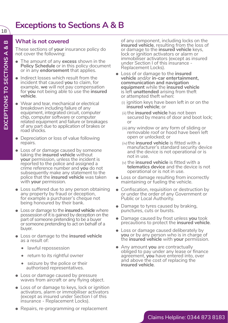### **What is not covered**

These sections of **your** insurance policy do not cover the following:

- The amount of any **excess** shown in the **Policy Schedule** or in this policy document or in any **endorsement** that applies.
- Indirect losses which result from the incident that caused **you** to claim, for example, **we** will not pay compensation for **you** not being able to use the **insured vehicle**.
- Wear and tear, mechanical or electrical breakdown including failure of any equipment, integrated circuit, computer chip, computer software or computer related equipment and failure or breakages of any part due to application of brakes or road shocks.
- Depreciation or loss of value following repairs.
- Loss of or damage caused by someone taking the **insured vehicle** without **your** permission, unless the incident is reported to the police and assigned a crime reference number and **you** do not subsequently make any statement to the police that the **insured vehicle** was taken with **your** permission.
- Loss suffered due to any person obtaining any property by fraud or deception, for example a purchaser's cheque not being honoured by their bank.
- Loss or damage to the **insured vehicle** where possession of it is gained by deception on the part of someone pretending to be a buyer or someone pretending to act on behalf of a buyer.
- Loss or damage to the **insured vehicle** as a result of:
	- lawful repossession
	- return to its rightful owner
	- seizure by the police or their authorised representatives.
- Loss or damage caused by pressure waves from aircraft or any flying object.
- Loss of or damage to keys, lock or ignition activators, alarm or immobiliser activators (except as insured under Section I of this insurance - Replacement Locks).
- Repairs, re-programming or replacement

of any component, including locks on the **insured vehicle**, resulting from the loss of or damage to the **insured vehicle** keys, lock or ignition activators or alarm or immobiliser activators (except as insured under Section I of this insurance - Replacement Locks).

- Loss of or damage to the **insured vehicle** and/or **in-car entertainment, communication and navigation equipment** while the **insured vehicle** is left **unattended** arising from theft or attempted theft when:
	- (i) ignition keys have been left in or on the **insured vehicle**; or
	- (ii) the **insured vehicle** has not been secured by means of door and boot lock; or
	- (iii)any window or any form of sliding or removable roof or hood have been left open or unlocked; or
	- (iv)the **insured vehicle** is fitted with a manufacturer's standard security device and the device is not operational or is not in use.
	- (v) the **insured vehicle** is fitted with a **telematics device** and the device is not operational or is not in use.
- Loss or damage resulting from incorrectly maintaining or fueling the vehicle.
- Confiscation, requisition or destruction by or under the order of any Government or Public or Local Authority.
- Damage to tyres caused by braking, punctures, cuts or bursts.
- Damage caused by frost unless **you** took precautions to protect the **insured vehicle**.
- Loss or damage caused deliberately by **you** or by any person who is in charge of the **insured vehicle** with **your** permission.
- Any amount **you** are contractually obliged to pay under any lease or finance agreement, **you** have entered into, over and above the cost of replacing the **insured vehicle**.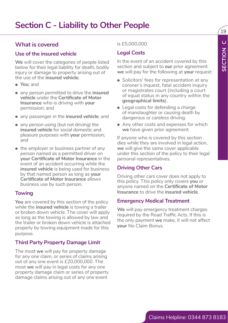### **What is covered**

### **Use of the insured vehicle**

**We** will cover the categories of people listed below for their legal liability for death, bodily injury or damage to property arising out of the use of the **insured vehicle**;

- **You**; and
- any person permitted to drive the **insured vehicle** under the **Certificate of Motor Insurance** who is driving with **your** permission; and
- any passenger in the **insured vehicle**; and
- any person using (but not driving) the **insured vehicle** for social domestic and pleasure purposes with **your** permission; and
- What is covered<br>
Use of the insured vehicle<br>
Use of the insured vehicle<br>
Use of the insured vehicle corresponds of people listed<br>
Dividends and principal content of an accident covered by the<br>
insured vehicles providently • the employer or business partner of any person named as a permitted driver on **your Certificate of Motor Insurance** in the event of an accident occurring while the **insured vehicle** is being used for business by that named person as long as **your Certificate of Motor Insurance** allows business use by such person.

### **Towing**

**You** are covered by this section of the policy while the **insured vehicle** is towing a trailer or broken down vehicle. The cover will apply as long as the towing is allowed by law and the trailer or broken down vehicle is attached properly by towing equipment made for this purpose.

### **Third Party Property Damage Limit**

The most **we** will pay for property damage for any one claim, or series of claims arising out of any one event is £20,000,000. The most **we** will pay in legal costs for any one property damage claim or series of property damage claims arising out of any one event

#### is £5,000,000.

### **Legal Costs**

In the event of an accident covered by this section and subject to **our** prior agreement **we** will pay for the following at **your** request:

- Solicitors' fees for representation at any coroner's inquest, fatal accident inquiry or magistrates court (including a court of equal status in any country within the **geographical limits**).
- Legal costs for defending a charge of manslaughter or causing death by dangerous or careless driving.
- Any other costs and expenses for which **we** have given prior agreement.

If anyone who is covered by this section dies while they are involved in legal action, **we** will give the same cover applicable under this section of the policy to their legal personal representatives.

### **Driving Other Cars**

Driving other cars cover does not apply to this policy. This policy only covers **you** or anyone named on the **Certificate of Motor Insurance** to drive the **insured vehicle**.

#### **Emergency Medical Treatment**

**We** will pay emergency treatment charges required by the Road Traffic Acts. If this is the only payment **we** make, it will not affect **your** No Claim Bonus.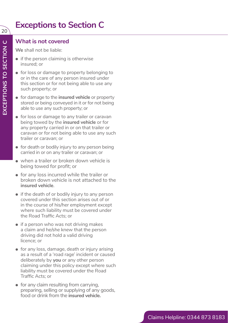## **Exceptions to Section C**

### **What is not covered**

**We** shall not be liable:

- if the person claiming is otherwise insured; or
- for loss or damage to property belonging to or in the care of any person insured under this section or for not being able to use any such property; or
- for damage to the **insured vehicle** or property stored or being conveyed in it or for not being able to use any such property; or
- for loss or damage to any trailer or caravan being towed by the **insured vehicle** or for any property carried in or on that trailer or caravan or for not being able to use any such trailer or caravan; or
- for death or bodily injury to any person being carried in or on any trailer or caravan; or
- when a trailer or broken down vehicle is being towed for profit; or
- for any loss incurred while the trailer or broken down vehicle is not attached to the **insured vehicle** .
- if the death of or bodily injury to any person covered under this section arises out of or in the course of his/her employment except where such liability must be covered under the Road Traffic Acts; or
- if a person who was not driving makes a claim and he/she knew that the person driving did not hold a valid driving licence; or
- for any loss, damage, death or injury arising as a result of a 'road rage' incident or caused deliberately by **you** or any other person claiming under this policy except where such liability must be covered under the Road Traffic Acts; or
- for any claim resulting from carrying, preparing, selling or supplying of any goods, food or drink from the **insured vehicle.**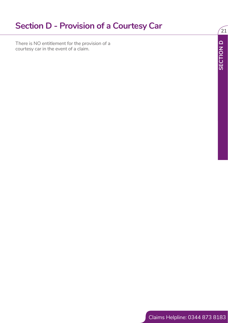### **Section D - Provision of a Courtesy Car**

There is No entities referencies to the provision of a<br>courtexy can in the event of a claim.<br>Claims Helpline: 0344 873 8183<br>Claims Helpline: 0344 873 8183 There is NO entitlement for the provision of a courtesy car in the event of a claim.

 $\sqrt{21}$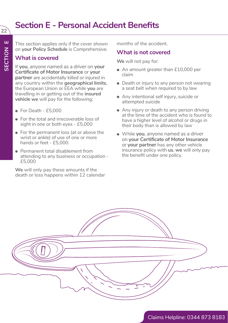## **Section E - Personal Accident Benefits**

This section applies only if the cover shown on **your Policy Schedule** is Comprehensive.

### **What is covered**

If **you**, anyone named as a driver on **your Certificate of Motor Insurance** or **your partner** are accidentally killed or injured in any country within the **geographical limits**, the European Union or EEA while **you** are travelling in or getting out of the **insured vehicle we** will pay for the following;

- For Death £5,000
- For the total and irrecoverable loss of sight in one or both eyes - £5,000
- For the permanent loss (at or above the wrist or ankle) of use of one or more hands or feet - £5,000
- Permanent total disablement from attending to any business or occupation - £5,000

**We** will only pay these amounts if the death or loss happens within 12 calendar months of the accident.

### **What is not covered**

**We** will not pay for:

- An amount greater than £10,000 per claim
- Death or injury to any person not wearing a seat belt when required to by law
- Any intentional self injury, suicide or attempted suicide
- Any injury or death to any person driving at the time of the accident who is found to have a higher level of alcohol or drugs in their body than is allowed by law
- While **you**, anyone named as a driver on **your Certificate of Motor Insurance** or **your partner** has any other vehicle insurance policy with **us**, **we** will only pay the benefit under one policy.

Claims Helpline: 0344 873 8183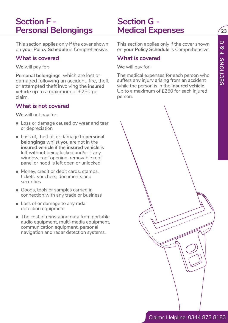$23$ 

### **Section F - Personal Belongings**

This section applies only if the cover shown on **your Policy Schedule** is Comprehensive.

### **What is covered**

**We** will pay for:

**Personal belongings**, which are lost or damaged following an accident, fire, theft or attempted theft involving the **insured vehicle** up to a maximum of £250 per claim.

### **What is not covered**

**We** will not pay for:

- Loss or damage caused by wear and tear or depreciation
- Loss of, theft of, or damage to **personal belongings** whilst **you** are not in the **insured vehicle** if the **insured vehicle** is left without being locked and/or if any window, roof opening, removable roof panel or hood is left open or unlocked
- Money, credit or debit cards, stamps, tickets, vouchers, documents and securities
- Goods, tools or samples carried in connection with any trade or business
- Loss of or damage to any radar detection equipment
- The cost of reinstating data from portable audio equipment, multi-media equipment, communication equipment, personal navigation and radar detection systems.

This section applies only if the cover shown on **your Policy Schedule** is Comprehensive.

### **What is covered**

**Section G -** 

**Medical Expenses**

**We** will pay for:

The medical expenses for each person who suffers any injury arising from an accident while the person is in the **insured vehicle**. Up to a maximum of £250 for each injured person.

This section applies which the cover shown This section applies only the cover shown<br>
on your Plairy Schedule is Comprehensive.<br>
What is covered<br>
We will not for the well in profit:<br>
Next is power to the will not form the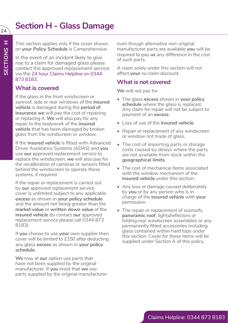## **Section H - Glass Damage**

This section applies only if the cover shown on **your Policy Schedule** is Comprehensive.

In the event of an incident likely to give rise to a claim for damaged glass please contact the approved replacement service via the 24 hour Claims Helpline on 0344 873 8183.

### **What is covered**

If the glass in the front windscreen or sunroof, side or rear windows of the **insured vehicle** is damaged during the **period of insurance we** will pay the cost of repairing or replacing it. **We** will also pay for any repair to the bodywork of the **insured vehicle** that has been damaged by broken glass from the windscreen or window.

If the **insured vehicle** is fitted with Advanced Driver Assistance Systems (ADAS) and **you** use **our** approved replacement service to replace the windscreen, **we** will also pay for the recalibration of cameras or sensors fitted behind the windscreen to operate these systems, if required.

If the repair or replacement is carried out by **our** approved replacement service cover is unlimited subject to any applicable **excess** as shown in **your policy schedule** and the amount not being greater than the **market value** or **written down value** of the **insured vehicle** (to contact **our** approved replacement service please call 0344 873 8183).

If **you** choose to use **your** own supplier then cover will be limited to £150 after deducting any glass **excess** as shown in **your policy schedule**.

**We** may at **our** option use parts that have not been supplied by the original manufacturer. If **you** insist that **we** use parts supplied by the original manufacturer even though alternative non-original manufacturer parts are available **you** will be required to pay **us** any difference in the cost of such parts.

A claim solely under this section will not affect **your** no claim discount.

### **What is not covered**

**We** will not pay for:

- The glass **excess** shown in **your policy schedule** where the glass is replaced. Any claim for repair will not be subject to payment of an **excess**.
- Loss of use of the **insured vehicle**.
- Repair or replacement of any windscreen or window not made of glass.
- The cost of importing parts or storage costs caused by delays where the parts are not available from stock within the **geographical limits**.
- The cost of mechanical items associated with the window mechanism of the **insured vehicle** under this section.
- Any loss or damage caused deliberately by **you** or by any person who is in charge of the **insured vehicle** with **your**  permission.
- The repair or replacement of sunroofs, **panoramic roof**, lights/reflectors or folding rear windscreen assemblies or any permanently fitted accessories including glass contained within hard tops under this section. Cover for these items will be supplied under Section A of this policy.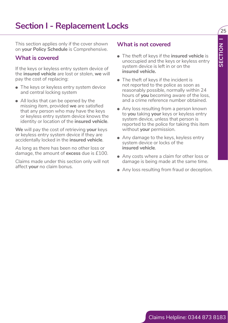### **Section I - Replacement Locks**

This section applies only if the cover shown on **your Policy Schedule** is Comprehensive.

### **What is covered**

If the keys or keyless entry system device of the **insured vehicle** are lost or stolen, **we** will pay the cost of replacing:

- The keys or keyless entry system device and central locking system
- This accidental popularis only if the cover of the covered<br>
on your Policy Schedule is Comprehensive.<br>
What is covered<br>
What is covered<br>
window in system device in the way at the hystem device in the second field<br>
the lev • All locks that can be opened by the missing item, provided **we** are satisfied that any person who may have the keys or keyless entry system device knows the identity or location of the **insured vehicle**.

**We** will pay the cost of retrieving **your** keys or keyless entry system device if they are accidentally locked in the **insured vehicle**.

As long as there has been no other loss or damage, the amount of **excess** due is £100.

Claims made under this section only will not affect **your** no claim bonus.

### **What is not covered**

• The theft of keys if the **insured vehicle** is unoccupied and the keys or keyless entry system device is left in or on the **insured vehicle.**

 $\sqrt{25}$ 

- The theft of keys if the incident is not reported to the police as soon as reasonably possible, normally within 24 hours of **you** becoming aware of the loss, and a crime reference number obtained.
- Any loss resulting from a person known to **you** taking **your** keys or keyless entry system device, unless that person is reported to the police for taking this item without **your** permission.
- Any damage to the keys, keyless entry system device or locks of the **insured vehicle**.
- Any costs where a claim for other loss or damage is being made at the same time.
- Any loss resulting from fraud or deception.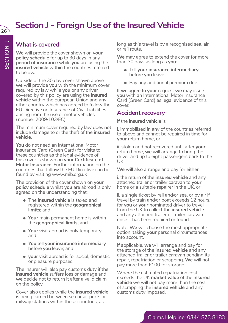### **Section J - Foreign Use of the Insured Vehicle**

### **What is covered**

**We** will provide the cover shown on **your policy schedule** for up to 30 days in any **period of insurance** while **you** are using the **insured vehicle** within the countries referred to below.

Outside of the 30 day cover shown above **we** will provide **you** with the minimum cover required by law while **you** or any driver covered by this policy are using the **insured vehicle** within the European Union and any other country which has agreed to follow the EU Directive on Insurance of Civil Liabilities arising from the use of motor vehicles (number 2009/103/EC).

The minimum cover required by law does not include damage to or the theft of the **insured vehicle**.

**You** do not need an International Motor Insurance Card (Green Card) for visits to these countries as the legal evidence of this cover is shown on **your Certificate of Motor Insurance**. Further information on the countries that follow the EU Directive can be found by visiting www.mib.org.uk

The provision of the cover shown on **your policy schedule** whilst **you** are abroad is only agreed on the understanding that:

- The **insured vehicle** is taxed and registered within the **geographical limits**; and
- **Your** main permanent home is within the **geographical limits**; and
- **Your** visit abroad is only temporary; and
- **You** tell **your insurance intermediary** before **you** leave; and
- **your** visit abroad is for social, domestic or pleasure purposes.

The insurer will also pay customs duty if the **insured vehicle** suffers loss or damage and **we** decide not to return it after a valid claim on the policy.

Cover also applies while the **insured vehicle** is being carried between sea or air ports or railway stations within these countries, as

long as this travel is by a recognised sea, air or rail route.

**We** may agree to extend the cover for more than 30 days as long as **you**:

- Tell **your insurance intermediary** before **you** leave
- Pay any additional premium due.

If **we** agree to **your** request **we** may issue **you** with an International Motor Insurance Card (Green Card) as legal evidence of this cover.

### **Accident recovery**

If the **insured vehicle** is

i. immobilised in any of the countries referred to above and cannot be repaired in time for **your** return home, or

ii. stolen and not recovered until after **your** return home, **we** will arrange to bring the driver and up to eight passengers back to the UK.

**We** will also arrange and pay for either:

i. the return of the **insured vehicle** and any attached trailer or trailer caravan to **your** home or a suitable repairer in the UK, or

ii. a single ticket by rail and/or sea, or by air if travel by train and/or boat exceeds 12 hours, for **you** or **your** nominated driver to travel from the UK to collect the **insured vehicle** and any attached trailer or trailer caravan once it has been repaired or found.

Note: **We** will choose the most appropriate option, taking **your** personal circumstances into account.

If applicable, **we** will arrange and pay for the storage of the **insured vehicle** and any attached trailer or trailer caravan pending its repair, repatriation or scrapping. **We** will not pay more than £100 for storage.

Where the estimated repatriation cost exceeds the UK **market value** of the **insured vehicle** we will not pay more than the cost of scrapping the **insured vehicle** and any customs duty imposed.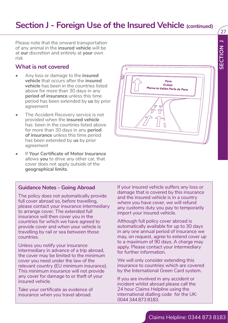### **Section J - Foreign Use of the Insured Vehicle (continued)**

Please note that the onward transportation of any animal in the **insured vehicle** will be at **our** discretion and entirely at **your** own risk

### **What is not covered**

- Any loss or damage to the **insured vehicle** that occurs after the **insured vehicle** has been in the countries listed above for more than 30 days in any **period of insurance** unless this time period has been extended by **us** by prior agreement
- The Accident Recovery service is not provided when the **insured vehicle** has been in the countries listed above for more than 30 days in any **period of insurance** unless this time period has been extended by **us** by prior agreement
- **If Your Certificate of Motor Insurance** allows **you** to drive any other car, that cover does not apply outside of the **geographical limits**.

#### **Guidance Notes - Going Abroad**

The policy does not automatically provide full cover abroad so, before travelling, please contact your insurance intermediary to arrange cover. The extended full insurance will then cover you in the countries for which we have agreed to provide cover and when your vehicle is travelling by rail or sea between those countries.

Unless you notify your insurance intermediary in advance of a trip abroad, the cover may be limited to the minimum cover you need under the law of the relevant country (EU minimum insurance). This minimum insurance will not provide any cover for damage to or theft of your insured vehicle.

Take your certificate as evidence of insurance when you travel abroad.

If your insured vehicle suffers any loss or damage that is covered by this insurance and the insured vehicle is in a country where you have cover, we will refund any customs duty you pay to temporarily import your insured vehicle.

Although full policy cover abroad is automatically available for up to 30 days in any one annual period of insurance we may, on request, agree to extend cover up to a maximum of 90 days. A charge may apply. Please contact your intermediary for further information.

We will only consider extending this insurance to countries which are covered by the International Green Card system.

If you are involved in any accident or incident whilst abroad please call the 24 hour Claims Helpline using the international dialling code for the UK: 0044 344 873 8183.



 $\mathcal{L}_{27}$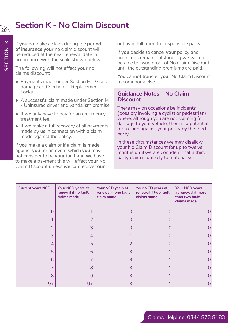### **Section K - No Claim Discount**

If **you** do make a claim during the **period of insurance your** no claim discount will be reduced at the next renewal date in accordance with the scale shown below.

The following will not affect **your** no claims discount:

- Payments made under Section H Glass damage and Section I - Replacement Locks.
- A successful claim made under Section M - Uninsured driver and vandalism promise
- If **we** only have to pay for an emergency treatment fee.
- If **we** make a full recovery of all payments made by **us** in connection with a claim made against the policy.

If **you** make a claim or if a claim is made against **you** for an event which **you** may not consider to be **your** fault and **we** have to make a payment this will affect **your** No Claim Discount unless **we** can recover **our**

outlay in full from the responsible party.

If **you** decide to cancel **your** policy and premiums remain outstanding **we** will not be able to issue proof of No Claim Discount until the outstanding premiums are paid.

**You** cannot transfer **your** No Claim Discount to somebody else.

### **Guidance Notes – No Claim Discount**

There may on occasions be incidents (possibly involving a cyclist or pedestrian) where, although you are not claiming for damage to your vehicle, there is a potential for a claim against your policy by the third party.

In these circumstances we may disallow your No Claim Discount for up to twelve months until we are confident that a third party claim is unlikely to materialise.

| <b>Current years NCD</b> | Your NCD years at<br>renewal if no fault<br>claims made | Your NCD years at<br>renewal if one fault<br>claim made | Your NCD years at<br>renewal if two fault<br>claims made | Your NCD years<br>at renewal if more<br>than two fault<br>claims made |
|--------------------------|---------------------------------------------------------|---------------------------------------------------------|----------------------------------------------------------|-----------------------------------------------------------------------|
| O                        |                                                         |                                                         |                                                          |                                                                       |
|                          | 2                                                       |                                                         |                                                          |                                                                       |
| 2                        | 3                                                       |                                                         |                                                          |                                                                       |
| 3                        | 4                                                       |                                                         |                                                          |                                                                       |
| 4                        | 5                                                       |                                                         |                                                          |                                                                       |
| 5                        | 6                                                       | 3                                                       |                                                          |                                                                       |
| 6                        |                                                         | 3                                                       |                                                          |                                                                       |
|                          | 8                                                       | 3                                                       |                                                          |                                                                       |
| 8                        | 9                                                       | 3                                                       |                                                          |                                                                       |
| $9+$                     | $9+$                                                    | 3                                                       |                                                          |                                                                       |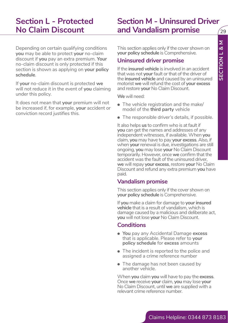### **Section L - Protected No Claim Discount**

### **Section M - Uninsured Driver and Vandalism promise**

Depending on certain qualifying conditions **you** may be able to protect **your** no-claim discount if **you** pay an extra premium. **Your** no-claim discount is only protected if this section is shown as applying on **your policy schedule**.

If **your** no-claim discount is protected **we** will not reduce it in the event of **you** claiming under this policy.

It does not mean that **your** premium will not be increased if, for example, **your** accident or conviction record justifies this.

This section applies only if the cover shown on **your policy schedule** is Comprehensive.

### **Uninsured driver promise**

If the **insured vehicle** is involved in an accident that was not **your** fault or that of the driver of the **insured vehicle** and caused by an uninsured motorist **we** will refund the cost of **your excess** and restore **your** No Claim Discount.

**We** will need:

- The vehicle registration and the make/ model of the **third party** vehicle
- The responsible driver's details, if possible.

Depending a contain qualifying conditions<br>
This section rapids only if the cover shown on<br>
discount if you provide provide the Claims Helpline:<br>
The countries and provident is contained with the provident in a addetite.<br>
I It also helps **us** to confirm who is at fault if **you** can get the names and addresses of any independent witnesses, if available. When **you** claim, **you** may have to pay **your excess**. Also, if when **your** renewal is due, investigations are still ongoing, **you** may lose **your** No Claim Discount temporarily. However, once **we** confirm that the accident was the fault of the uninsured driver, **we** will repay **your excess**, restore **your** No Claim Discount and refund any extra premium **you** have paid.

### **Vandalism promise**

This section applies only if the cover shown on **your policy schedule** is Comprehensive.

If you make a claim for damage to your insured **vehicle** that is a result of vandalism, which is damage caused by a malicious and deliberate act, **you** will not lose **your** No Claim Discount.

### **Conditions**

- **You** pay any Accidental Damage **excess** that is applicable. Please refer to **your policy schedule** for **excess** amounts
- The incident is reported to the police and assigned a crime reference number
- The damage has not been caused by another vehicle.

When **you** claim **you** will have to pay the **excess**. Once **we** receive **your** claim, **you** may lose **your** No Claim Discount, until **we** are supplied with a relevant crime reference number.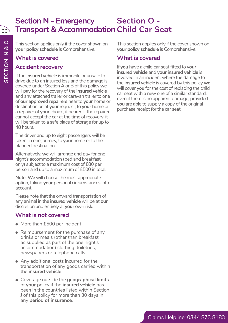### **Section N - Emergency Transport & Accommodation Child Car Seat Section O -**

This section applies only if the cover shown on **your policy schedule** is Comprehensive.

### **What is covered**

### **Accident recovery**

If the **insured vehicle** is immobile or unsafe to drive due to an insured loss and the damage is covered under Section A or B of this policy **we** will pay for the recovery of the **insured vehicle** and any attached trailer or caravan trailer to one of **our approved repairers** near to **your** home or destination or, at **your** request, to **your** home or a repairer of **your** choice, if nearer. If the repairer cannot accept the car at the time of recovery, it will be taken to a safe place of storage for up to 48 hours.

The driver and up to eight passengers will be taken, in one journey, to **your** home or to the planned destination.

Alternatively, **we** will arrange and pay for one night's accommodation (bed and breakfast only) subject to a maximum cost of £80 per person and up to a maximum of £500 in total.

**Note: We** will choose the most appropriate option, taking **your** personal circumstances into account.

Please note that the onward transportation of any animal in the **insured vehicle** will be at **our**  discretion and entirely at **your** own risk.

### **What is not covered**

- More than £500 per incident
- Reimbursement for the purchase of any drinks or meals (other than breakfast as supplied as part of the one night's accommodation) clothing, toiletries, newspapers or telephone calls
- Any additional costs incurred for the transportation of any goods carried within the **insured vehicle**
- Coverage outside the **geographical limits** of **your** policy if the **insured vehicle** has been in the countries listed within Section J of this policy for more than 30 days in any **period of insurance**.

This section applies only if the cover shown on **your policy schedule** is Comprehensive.

### **What is covered**

If **you** have a child car seat fitted to **your insured vehicle** and **your insured vehicle** is involved in an incident where the damage to the **insured vehicle** is covered by this policy **we** will cover **you** for the cost of replacing the child car seat with a new one of a similar standard, even if there is no apparent damage, provided **you** are able to supply a copy of the original purchase receipt for the car seat.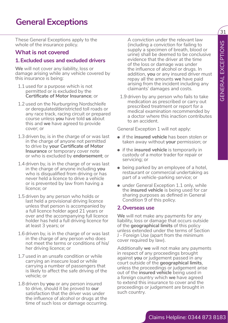### **General Exceptions**

These General Exceptions apply to the whole of the insurance policy.

#### **What is not covered**

#### **1.Excluded uses and excluded drivers**

**We** will not cover any liability, loss or damage arising while any vehicle covered by this insurance is being:

- 1.1 used for a purpose which is not permitted or is excluded by the **Certificate of Motor Insurance**; or
- 1.2 used on the Nurburgring Nordschleife or deregulated/deristricted toll roads or any race track, racing circuit or prepared course unless **you** have told **us** about this and **we** have agreed to provide cover; or
- 1.3 driven by, is in the charge of or was last in the charge of anyone not permitted to drive by **your Certificate of Motor Insurance** or temporary cover note or who is excluded by **endorsement**; or
- 1.4 driven by, is in the charge of or was last in the charge of anyone including **you** who is disqualified from driving or has never held a licence to drive a vehicle or is prevented by law from having a licence; or
- 1.5 driven by any person who holds or last held a provisional driving licence unless that person is accompanied by a full licence holder aged 21 years or over and the accompanying full licence holder has held a full driving licence for at least 3 years; or
- 1.6 driven by, is in the charge of or was last in the charge of any person who does not meet the terms or conditions of his/ her driving licence; or
- 1.7 used in an unsafe condition or while carrying an insecure load or while carrying a number of passengers that is likely to affect the safe driving of the vehicle; or
- 1.8 driven by **you** or any person insured to drive, should it be proved to **our** satisfaction that the driver was under the influence of alcohol or drugs at the time of such loss or damage occurring.

A conviction under the relevant law (including a conviction for failing to supply a specimen of breath, blood or urine) shall be deemed to be conclusive evidence that the driver at the time of the loss or damage was under the influence of alcohol or drugs. In addition, **you** or any insured driver must repay all the amounts **we** have paid arising from the incident including any claimants' damages and costs.

1.9 driven by any person who fails to take medication as prescribed or carry out prescribed treatment or report for a medical examination recommended by a doctor where this inaction contributes to an accident.

General Exception 1 will not apply:

- if the **insured vehicle** has been stolen or taken away without **your** permission; or
- if the **insured vehicle** is temporarily in custody of a motor trader for repair or servicing; or
- being parked by an employee of a hotel. restaurant or commercial undertaking as part of a vehicle-parking service; or
- under General Exception 1.1 only, while the **insured vehicle** is being used for car sharing purposes as defined in General Condition 9 of this policy.

#### **2.Overseas use**

**We** will not make any payments for any liability, loss or damage that occurs outside of the **geographical limits** of this policy unless extended under the terms of Section J - Foreign Use (apart from the minimum cover required by law).

while of the interaction of the interaction of the interaction of the interaction of the interaction of the interaction of the interaction of the interaction of the interaction of the interaction of the interaction of the Additionally **we** will not make any payments in respect of any proceedings brought against **you** or judgement passed in any court outside of the **geographical limits**, unless the proceedings or judgement arise out of the **insured vehicle** being used in a foreign country which **we** have agreed to extend this insurance to cover and the proceedings or judgement are brought in such country.

 $\overline{31}$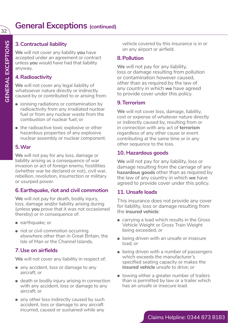### **3.Contractual liability**

**We** will not cover any liability **you** have accepted under an agreement or contract unless **you** would have had that liability anyway.

### **4.Radioactivity**

**We** will not cover any legal liability of whatsoever nature directly or indirectly caused by or contributed to or arising from:

- ionising radiations or contamination by radioactivity from any irradiated nuclear fuel or from any nuclear waste from the combustion of nuclear fuel; or
- the radioactive toxic explosive or other hazardous properties of any explosive nuclear assembly or nuclear component.

### **5.War**

**We** will not pay for any loss, damage or liability arising as a consequence of war invasion or act of foreign enemy, hostilities (whether war be declared or not), civil war, rebellion, revolution, insurrection or military or usurped power.

### **6.Earthquake, riot and civil commotion**

**We** will not pay for death, bodily injury, loss, damage and/or liability arising during (unless **you** prove that it was not occasioned thereby) or in consequence of:

- earthquake; or
- riot or civil commotion occurring elsewhere other than in Great Britain, the Isle of Man or the Channel Islands.

### **7.Use on airfields**

**We** will not cover any liability in respect of:

- any accident, loss or damage to any aircraft; or
- death or bodily injury arising in connection with any accident, loss or damage to any aircraft; or
- any other loss indirectly caused by such accident, loss or damage to any aircraft incurred, caused or sustained while any

vehicle covered by this insurance is in or on any airport or airfield.

### **8.Pollution**

**We** will not pay for any liability, loss or damage resulting from pollution or contamination however caused, other than as required by the law of any country in which **we** have agreed to provide cover under this policy.

### **9.Terrorism**

**We** will not cover loss, damage, liability, cost or expense of whatever nature directly or indirectly caused by, resulting from or in connection with any act of **terrorism** regardless of any other cause or event contributing at the same time or in any other sequence to the loss.

### **10. Hazardous goods**

**We** will not pay for any liability, loss or damage resulting from the carriage of any **hazardous goods** other than as required by the law of any country in which **we** have agreed to provide cover under this policy.

### **11. Unsafe loads**

This insurance does not provide any cover for liability, loss or damage resulting from the **insured vehicle**:

- carrying a load which results in the Gross Vehicle Weight or Gross Train Weight being exceeded, or
- being driven with an unsafe or insecure load; or
- being driven with a number of passengers which exceeds the manufacturer's specified seating capacity or makes the **insured vehicle** unsafe to drive; or
- towing either a greater number of trailers than is permitted by law or a trailer which has an unsafe or insecure load.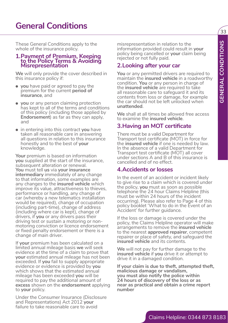### **General Conditions**

These General Conditions apply to the whole of the insurance policy.

#### **1.Payment of Premium, Keeping to the Policy Terms & Avoiding Misrepresentation**

**We** will only provide the cover described in this insurance policy if:

- **you** have paid or agreed to pay the premium for the current **period of insurance**, and
- **you** or any person claiming protection has kept to all of the terms and conditions of this policy (including those applied by **Endorsement**) as far as they can apply, and
- in entering into this contract **you** have taken all reasonable care in answering all questions in relation to this insurance honestly and to the best of **your** knowledge.

These Gonder Conditions spoke to the intermediation in relation to the intermediation of the matter intermediation of the matter of **Properties of Premium (Regin)** matter and the intermediation of the control of the contro **Your** premium is based on information **you** supplied at the start of the insurance, subsequent alteration or renewal. **You** must tell **us** via **your insurance intermediary** immediately of any change to that information, some examples are any changes to the **insured vehicle** which improve its value, attractiveness to thieves, performance or handling, any change of car (whereby a new telematics installation would be required), change of occupation (including part-time), change of address (including where car is kept), change of drivers, if **you** or any drivers pass their driving test or sustain a motoring or nonmotoring conviction or licence endorsement or fixed penalty endorsement or there is a change of main driver.

If **your** premium has been calculated on a limited annual mileage basis **we** will seek evidence at the time of a claim to prove that **your** estimated annual mileage has not been exceeded. If **you** fail to supply appropriate evidence or evidence is provided by **you** which shows that the estimated annual mileage has been exceeded **you** will be required to pay the additional amount of **excess** shown on the **endorsement** applying to **your** policy.

Under the Consumer Insurance (Disclosure and Representations) Act 2012 **your** failure to take reasonable care to avoid

misrepresentation in relation to the information provided could result in **your** policy being cancelled or **your** claim being rejected or not fully paid.

### **2.Looking after your car**

**You** or any permitted drivers are required to maintain the **insured vehicle** in a roadworthy condition. **You** or any person in charge of the **insured vehicle** are required to take all reasonable care to safeguard it and its contents from loss or damage, for example the car should not be left unlocked when **unattended**.

**We** shall at all times be allowed free access to examine the **insured vehicle**.

### **3.Having an MOT certificate**

There must be a valid Department for Transport test certificate (MOT) in force for the **insured vehicle** if one is needed by law. In the absence of a valid Department for Transport test certificate (MOT) all cover under sections A and B of this insurance is cancelled and of no effect.

### **4.Accidents or losses**

In the event of an accident or incident likely to give rise to a claim which is covered under the policy, **you** must as soon as possible telephone the 24 hour Claims Helpline (this must be within 24 hours of the incident occurring). Please also refer to Page 4 of this policy booklet 'What to do in the Event of an Accident' for further guidance.

If the loss or damage is covered under the policy, the Claims Helpline operator will make arrangements to remove the **insured vehicle** to the nearest **approved repairer**, competent repairer or place of safety, and safeguard the **insured vehicle** and its contents.

**We** will not pay for further damage to the **insured vehicle** if **you** drive it or attempt to drive it in a damaged condition.

**If your claim is due to theft, attempted theft, malicious damage or vandalism, you must also notify the police within 24 hours of discovery of the loss or as near as practical and obtain a crime report number**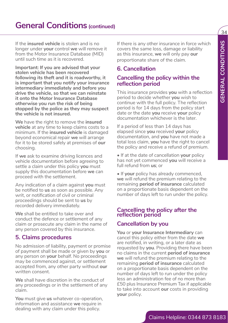34

If the **insured vehicle** is stolen and is no longer under **your** control **we** will remove it from the Motor Insurance Database (MID) until such time as it is recovered.

**Important: If you are advised that your stolen vehicle has been recovered following its theft and it is roadworthy, it is important that you notify your insurance intermediary immediately and before you drive the vehicle, so that we can reinstate it onto the Motor Insurance Database otherwise you run the risk of being stopped by the police as they may suspect the vehicle is not insured.**

**We** have the right to remove the **insured vehicle** at any time to keep claims costs to a minimum. If the **insured vehicle** is damaged beyond economical repair **we** will arrange for it to be stored safely at premises of **our** choosing.

If **we** ask to examine driving licences and vehicle documentation before agreeing to settle a claim under this policy **you** must supply this documentation before **we** can proceed with the settlement.

Any indication of a claim against **you** must be notified to **us** as soon as possible. Any writ, or notification of civil or criminal proceedings should be sent to **us** by recorded delivery immediately.

**We** shall be entitled to take over and conduct the defence or settlement of any claim or prosecute any claim in the name of any person covered by this insurance.

### **5. Claims procedures**

No admission of liability, payment or promise of payment shall be made or given by **you** or any person on **your** behalf. No proceedings may be commenced against, or settlement accepted from, any other party without **our** written consent.

**We** shall have discretion in the conduct of any proceedings or in the settlement of any claim.

**You** must give **us** whatever co-operation, information and assistance **we** require in dealing with any claim under this policy.

If there is any other insurance in force which covers the same loss, damage or liability as this insurance, **we** will only pay **our** proportionate share of the claim.

### **6. Cancellation**

### **Cancelling the policy within the reflection period**

This insurance provides **you** with a reflection period to decide whether **you** wish to continue with the full policy. The reflection period is for 14 days from the policy start date or the date **you** receive **your** policy documentation whichever is the later.

If a period of less than 14 days has elapsed since **you** received **your** policy documentation, and **you** have not made a total loss claim, **you** have the right to cancel the policy and receive a refund of premium.

• If at the date of cancellation **your** policy has not yet commenced **you** will receive a full refund from **us**; or

• If **your** policy has already commenced, **we** will refund the premium relating to the remaining **period of insurance** calculated on a proportionate basis dependent on the number of days left to run under the policy.

### **Cancelling the policy after the reflection period**

### **Cancellation by you**

If the insulated vehicle at solehold the condition of the state is a this free insulated with the payof the state is a state of the state of the state is a state of the state of the state of the state of the state of the s **You** or **your Insurance Intermediary** can cancel this policy either from the date **we** are notified, in writing, or a later date as requested by **you**. Providing there have been no claims in the current **period of insurance we** will refund the premium relating to the remaining **period of insurance** calculated on a proportionate basis dependent on the number of days left to run under the policy less an administration fee of no more than £50 plus Insurance Premium Tax if applicable to take into account **our** costs in providing **your** policy.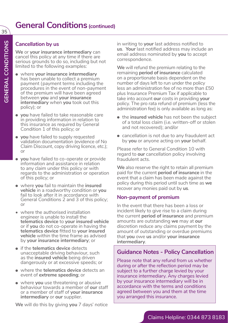### **Cancellation by us**

**We** or **your insurance intermediary** can cancel this policy at any time if there are serious grounds to do so, including but not limited to the following examples:

- where **your insurance intermediary** has been unable to collect a premium payment (payment terms including the procedures in the event of non-payment of the premium will have been agreed between **you** and **your insurance intermediary** when **you** took out this policy); or
- **you** have failed to take reasonable care in providing information in relation to this insurance as required by General Condition 1 of this policy; or
- **you** have failed to supply requested validation documentation (evidence of No Claim Discount, copy driving licence, etc.); or
- **you** have failed to co-operate or provide information and assistance in relation to any claim under this policy or with regards to the administration or operation of this policy; or
- where **you** fail to maintain the **insured vehicle** in a roadworthy condition or **you** fail to look after it in accordance with General Conditions 2 and 3 of this policy; or
- where the authorised installation engineer is unable to install the **telematics device** to **your insured vehicle**  or if **you** do not co-operate in having the **telematics device** fitted to **your insured vehicle** within the time frame as advised by **your insurance intermediary**; or
- if the **telematics device** detects unacceptable driving behaviour, such as the **insured vehicle** being driven dangerously or at excessive speeds; or
- where the **telematics device** detects an event of **extreme speeding**; or
- where **you** use threatening or abusive behaviour towards a member of **our** staff or a member of staff of **your insurance intermediary** or **our** supplier.

**We** will do this by giving **you** 7 days' notice

in writing to **your** last address notified to **us**. **Your** last notified address may include an email address nominated by **you** to accept correspondence.

**We** will refund the premium relating to the remaining **period of insurance** calculated on a proportionate basis dependent on the number of days left to run under the policy less an administration fee of no more than £50 plus Insurance Premium Tax if applicable to take into account **our** costs in providing **your** policy. The pro rata refund of premium (less the administration fee) is only available as long as:

- the **insured vehicle** has not been the subject of a total loss claim (i.e. written-off or stolen and not recovered); and/or
- cancellation is not due to any fraudulent act by **you** or anyone acting on **your** behalf.

Please refer to General Condition 10 with regard to **our** cancellation policy involving fraudulent acts.

**We** also reserve the right to retain all premium paid for the current **period of insurance** in the event that a claim has been made against the policy during this period until such time as **we**  recover any monies paid out by **us**.

### **Non-payment of premium**

In the event that there has been a loss or incident likely to give rise to a claim during the current **period of insurance** and premium amounts are outstanding **we** may at **our** discretion reduce any claims payment by the amount of outstanding or overdue premiums that **you** owe **us** and/or **your insurance intermediary**.

### **Guidance Notes - Policy Cancellation**

Please note that any refund from us whether during or after the reflection period may be subject to a further charge levied by your insurance intermediary. Any charges levied by your insurance intermediary will be in accordance with the terms and conditions agreed between you and them at the time you arranged this insurance.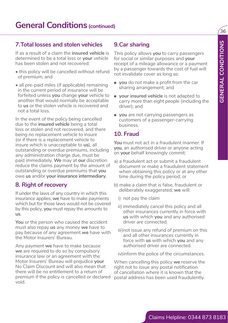### **7.Total losses and stolen vehicles**

If as a result of a claim the **insured vehicle** is determined to be a total loss or **your** vehicle has been stolen and not recovered:

- this policy will be cancelled without refund of premium; and
- all pre-paid miles (if applicable) remaining in the current period of insurance will be forfeited unless **you** change **your** vehicle to another that would normally be acceptable to **us** or the stolen vehicle is recovered and not a total loss.

7. Total losses and stolen vehicles **Solen and the stolen of the stolen with the stolen of the stolen of the stolen of the stolen of the stolen of the stolen of the stolen of the stolen of the stolen of the stolen of the** In the event of the policy being cancelled due to the **insured vehicle** being a total loss or stolen and not recovered, and there being no replacement vehicle to insure (or if there is a replacement vehicle to insure which is unacceptable to **us**), all outstanding or overdue premiums, including any administration charge due, must be paid immediately. **We** may at **our** discretion reduce the claims payment by the amount of outstanding or overdue premiums that **you** owe **us** and/or **your insurance intermediary**.

### **8. Right of recovery**

If under the laws of any country in which this insurance applies, **we** have to make payments which but for those laws would not be covered by this policy, **you** must repay the amounts to **us**.

**You** or the person who caused the accident must also repay **us** any money **we** have to pay because of any agreement **we** have with the Motor Insurers' Bureau.

Any payment **we** have to make because **we** are required to do so by compulsory insurance law or an agreement with the Motor Insurers' Bureau will prejudice **your** No Claim Discount and will also mean that there will be no entitlement to a return of premium if the policy is cancelled or declared void.

### **9.Car sharing**

This policy allows **you** to carry passengers for social or similar purposes and **your** receipt of a mileage allowance or a payment by a passenger towards the cost of fuel will not invalidate cover as long as:

- **you** do not make a profit from the car sharing arrangement; and
- **your insured vehicle** is not adapted to carry more than eight people (including the driver); and
- **you** are not carrying passengers as customers of a passenger-carrying business.

### **10. Fraud**

**You** must not act in a fraudulent manner. If **you**, an authorised driver or anyone acting on **your** behalf knowingly commit:

- a) a fraudulent act or submit a fraudulent document or make a fraudulent statement when obtaining this policy or at any other time during the policy period; or
- b) make a claim that is false, fraudulent or deliberately exaggerated, **we** will:
	- i) not pay the claim
	- ii) immediately cancel this policy and all other insurances currently in force with **us** with which **you** and any authorised driver are connected.
	- iii)not issue any refund of premium on this and all other insurances currently in force with **us** with which **you** and any authorised driver are connected.

iv)inform the police of the circumstances.

When cancelling this policy **we** reserve the right not to issue any postal notification of cancellation where it is known that the postal address has been used fraudulently.

ั่วค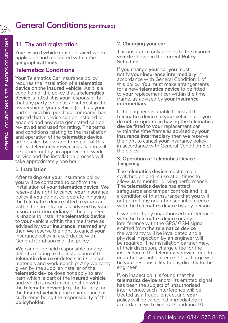### **11. Tax and registration**

**Your insured vehicle** must be taxed where applicable and registered within the **geographical limits** .

### **Telematics Conditions**

Your Telematics Car Insurance policy requires the installation of a **telematics device** on the **insured vehicle**. As it is a condition of the policy that a **telematics device** is fitted, it is **your** responsibility that any party who has an interest in the ownership of **your** vehicle (such as **your** partner or a hire purchase company) has agreed that a device can be installed or enabled and any data generated can be reviewed and used for rating. The terms and conditions relating to the installation and operation of the **telematics device** are detailed below and form part of this policy. **Telematics device** installation will be carried out by an approved network service and the installation process will take approximately one hour.

### **1. Installation**

After taking out **your** insurance policy **you** will be contacted to confirm the installation of **your telematics device**. **We** reserve the right to cancel **your** insurance policy if **you** do not co-operate in having the **telematics device** fitted to **your** car within the time frame, as advised by **your insurance intermediary**. If the engineer is unable to install the **telematics device** to **your** vehicle within the time frame as advised by **your insurance intermediary** then **we** reserve the right to cancel **your** insurance policy in accordance with General Condition 6 of the policy.

**We** cannot be held responsible for any defects relating to the installation of the **telematic device** or defects in its design, materials and workmanship. Any warranty given by the supplier/installer of the **telematic device** does not apply to any item which is part of the **insured vehicle** and which is used in conjunction with the **telematic device** (e.g. the battery for the **Insured vehicle**), the maintenance of such items being the responsibility of the **policyholder** .

### **2. Changing your car**

This insurance only applies to the **insured vehicle** shown in the current **Policy Schedule** .

If **you** change **your** car **you** must notify **your insurance intermediary** in accordance with General Condition 1 of this policy. **You** must make arrangements for a new **telematics device** to be fitted to **your** replacement car within the time frame, as advised by **your insurance intermediary** .

If the engineer is unable to install the **telematics device** to **your** vehicle or if **you** do not co-operate in having the **telematics device** fitted to **your** replacement car within the time frame as advised by **your insurance intermediary** then **we** reserve the right to cancel **your** insurance policy in accordance with General Condition 6 of the policy.

#### **3. Operation of Telematics Device Tampering**

The **telematics device** must remain switched on and in use at all times to allow **us** to monitor driving performance. The **telematics device** has attack safeguards and tamper controls and it is a condition of this insurance that **you** will not permit any unauthorised interference with the **telematics device** by any person.

If **we** detect any unauthorised interference with the **telematics device** or any interference with the GPS/ GSM signal emitted from the **telematics device** the warranty will be invalidated and a physical inspection by an engineer will be required. The installation partner may, at their discretion, charge a fee for the inspection of the **telematics device**, due to unauthorised interference. This charge will be **your** responsibility to pay directly to the engineer.

If, on inspection it is found that the **telematics device** and/or its emitted signal has been the subject of unauthorised interference, such interference will be treated as a fraudulent act and **your** policy will be cancelled immediately in accordance with General Condition 10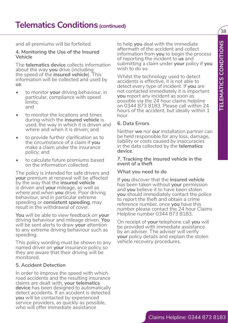38

and all premiums will be forfeited.

#### **4. Monitoring the Use of the Insured Vehicle**

The **telematics device** collects information about the way **you** drive (including the speed of the **insured vehicle**). This information will be collected and used by **us**:

- to monitor **your** driving behaviour, in particular, compliance with speed limits; and
- to monitor the locations and times during which the **insured vehicle** is used, the way in which it is driven and where and when it is driven; and
- to provide further clarification as to the circumstance of a claim if **you** make a claim under the insurance policy; and
- to calculate future premiums based on the information collected.

The policy is intended for safe drivers and **your** premium at renewal will be affected by the way that the **insured vehicle** is driven and **your** mileage, as well as where and when **you** drive. Poor driving behaviour, and in particular extreme speeding or **consistent speeding**, may result in the withdrawal of cover.

**You** will be able to view feedback on **your** driving behaviour and mileage driven. **You** will be sent alerts to draw **your** attention to any extreme driving behaviour such as speeding.

This policy wording must be shown to any named driver on **your** insurance policy so they are aware that their driving will be monitored.

#### **5. Accident Detection**

In order to improve the speed with which road accidents and the resulting insurance claims are dealt with, **your telematics device** has been designed to automatically detect accidents. If an accident is detected **you** will be contacted by experienced service providers, as quickly as possible, who will offer immediate assistance

to help **you** deal with the immediate aftermath of the accident and collect information from **you** to begin the process of reporting the incident to **us** and submitting a claim under **your** policy if **you** wish to do so.

and all permittens: will be foreflected.<br>
Claims Help you delivery that intermediate the intermediate of the forest of the forest of the forest of the state of the forest of the state of the forest of the state of the mass Whilst the technology used to detect accidents is effective, it is not able to detect every type of incident. If **you** are not contacted immediately it is important **you** report any incident as soon as possible via the 24 hour claims helpline on 0344 873 8183. Please call within 24 hours of the accident, but ideally within 1 hour.

#### **6. Data Errors**

Neither **we** nor **our** installation partner can be held responsible for any loss, damage, liability or costs caused by inaccuracies in the data collected by the **telematics device**.

#### **7. Tracking the insured vehicle in the event of a theft**

#### **What you need to do**

If **you** discover that the **insured vehicle** has been taken without **your** permission and **you** believe it to have been stolen **you** should immediately contact the police to report the theft and obtain a crime reference number, once **you** have this number please contact the 24 hour Claims Helpline number 0344 873 8183.

On receipt of **your** telephone call **you** will be provided with immediate assistance by an adviser. The adviser will verify **your** policy details and explain the stolen vehicle recovery procedures.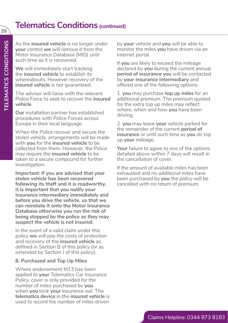### **Telematics Conditions (continued)**

As the **insured vehicle** is no longer under **your** control **we** will remove it from the Motor Insurance Database (MID) until such time as it is recovered.

**We** will immediately start tracking the **insured vehicle** to establish its whereabouts. However recovery of the **insured vehicle** is not guaranteed.

The adviser will liaise with the relevant Police Force to seek to recover the **insured vehicle**.

**Our** installation partner has established procedures with Police Forces across Europe in their local language.

When the Police recover and secure the stolen vehicle, arrangements will be made with **you** for the **insured vehicle** to be collected from them. However, the Police may require the **insured vehicle** to be taken to a secure compound for further investigation.

**Important: If you are advised that your stolen vehicle has been recovered following its theft and it is roadworthy, it is important that you notify your insurance intermediary immediately and before you drive the vehicle, so that we can reinstate it onto the Motor Insurance Database otherwise you run the risk of being stopped by the police as they may suspect the vehicle is not insured.**

In the event of a valid claim under this policy **we** will pay the costs of protection and recovery of the **insured vehicle** as defined in Section B of this policy (or as extended by Section J of this policy).

#### **8. Purchased and Top Up Miles**

Where endorsement M13 has been applied to **your** Telematics Car Insurance Policy, cover is only provided for the number of miles purchased by **you** when **you** took **your** insurance out. The **telematics device** in the **insured vehicle** is used to record the number of miles driven

by **your** vehicle and **you** will be able to monitor the miles **you** have driven via an internet portal.

If **you** are likely to exceed the mileage declared by **you** during the current annual **period of insurance you** will be contacted by **your insurance intermediary** and offered one of the following options:

1. **you** may purchase **top up miles** for an additional premium. The premium quoted for the extra top up miles may reflect where, when and how **you** have been driving.

2. **you** may leave **your** vehicle parked for the remainder of the current **period of insurance** or until such time as **you** do top up **your** mileage.

**Your** failure to agree to one of the options detailed above within 7 days will result in the cancellation of cover.

If the amount of available miles has been exhausted and no additional miles have been purchased by **you** the policy will be cancelled with no return of premium.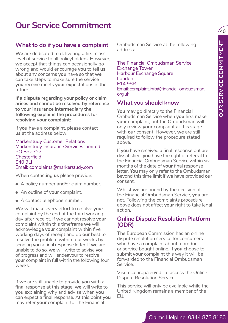### **What to do if you have a complaint**

**We** are dedicated to delivering a first class level of service to all policyholders. However, **we** accept that things can occasionally go wrong and would encourage **you** to tell **us** about any concerns **you** have so that **we** can take steps to make sure the service **you** receive meets **your** expectations in the future.

**If a dispute regarding your policy or claim arises and cannot be resolved by reference to your insurance intermediary the following explains the procedures for resolving your complaint:**

If **you** have a complaint, please contact **us** at the address below:

Markerstudy Customer Relations Markerstudy Insurance Services Limited PO Box 727 **Chesterfield** S40 9LH Email: complaints@markerstudy.com

When contacting **us** please provide:

- A policy number and/or claim number.
- An outline of **your** complaint.
- A contact telephone number.

What to do if you have a complement three methods of the methods of stationary and working the property of the Financial Claims Helpline: The methods and weak of a stationary point of the methods three methods are the met **We** will make every effort to resolve **your** complaint by the end of the third working day after receipt. If **we** cannot resolve **your** complaint within this timeframe **we** will acknowledge **your** complaint within five working days of receipt and do **our** best to resolve the problem within four weeks by sending **you** a final response letter. If **we** are unable to do so, **we** will write to advise **you** of progress and will endeavour to resolve **your** complaint in full within the following four weeks.

If **we** are still unable to provide **you** with a final response at this stage, **we** will write to **you** explaining why and advise when **you** can expect a final response. At this point **you** may refer **your** complaint to The Financial

Ombudsman Service at the following address:

The Financial Ombudsman Service Exchange Tower Harbour Exchange Square London E14 9SR Email: complaint.info@financial-ombudsman. org.uk

### **What you should know**

**You** may go directly to the Financial Ombudsman Service when **you** first make **your** complaint, but the Ombudsman will only review **your** complaint at this stage with **our** consent. However, **we** are still required to follow the procedure stated above.

If **you** have received a final response but are dissatisfied, **you** have the right of referral to the Financial Ombudsman Service within six months of the date of **your** final response letter. **You** may only refer to the Ombudsman beyond this time limit if **we** have provided **our** consent.

Whilst **we** are bound by the decision of the Financial Ombudsman Service, **you** are not. Following the complaints procedure above does not affect **your** right to take legal action.

### **Online Dispute Resolution Platform (ODR)**

The European Commission has an online dispute resolution service for consumers who have a complaint about a product or service bought online. If **you** choose to submit **your** complaint this way it will be forwarded to the Financial Ombudsman Service.

Visit ec.europa.eu/odr to access the Online Dispute Resolution Service.

This service will only be available while the United Kingdom remains a member of the EU.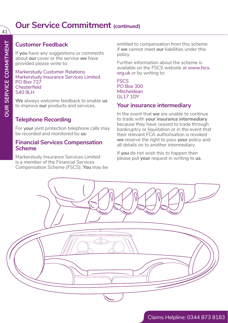### **Our Service Commitment** (continued)

### **Customer Feedback**

If **you** have any suggestions or comments about **our** cover or the service **we** have provided please write to:

Markerstudy Customer Relations Markerstudy Insurance Services Limited PO Box 727 **Chesterfield** S<sub>40</sub> 9LH

**We** always welcome feedback to enable **us** to improve **our** products and services.

### **Telephone Recording**

For **your** joint protection telephone calls may be recorded and monitored by **us**.

### **Financial Services Compensation Scheme**

Markerstudy Insurance Services Limited is a member of the Financial Services Compensation Scheme (FSCS). **You** may be entitled to compensation from this scheme if **we** cannot meet **our** liabilities under this policy.

Further information about the scheme is available on the FSCS website at www.fscs. org.uk or by writing to:

#### **FSCS** PO Box 300 **Mitcheldean** GL17 1DY

### **Your insurance intermediary**

In the event that **we** are unable to continue to trade with **your insurance intermediary** because they have ceased to trade through bankruptcy or liquidation or in the event that their relevant FCA authorisation is revoked **we** reserve the right to pass **your** policy and all details on to another intermediary.

If **you** do not wish this to happen then please put **your** request in writing to **us**.

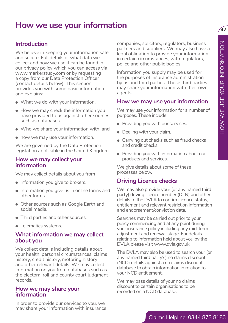### **How we use your information**

### **Introduction**

**Infroduction**<br> **In the second control in the second control in the second control in the second control in the second control in the second control in the second control in the second control in the second control in the** We believe in keeping your information safe and secure. Full details of what data we collect and how we use it can be found in our privacy policy which you can access via www.markerstudy.com or by requesting a copy from our Data Protection Officer (contact details below). This section provides you with some basic information and explains:

- What we do with your information.
- How we may check the information you have provided to us against other sources such as databases.
- Who we share your information with, and
- how we may use your information.

We are governed by the Data Protection legislation applicable in the United Kingdom.

#### **How we may collect your information**

We may collect details about you from

- Information you give to brokers.
- Information you give us in online forms and other forms.
- Other sources such as Google Earth and social media.
- Third parties and other sources.
- Telematics systems.

### **What information we may collect about you**

We collect details including details about your health, personal circumstances, claims history, credit history, motoring history and other relevant details. We may collect information on you from databases such as the electoral roll and county court judgment records.

#### **How we may share your information**

In order to provide our services to you, we may share your information with insurance companies, solicitors, regulators, business partners and suppliers. We may also have a legal obligation to provide your information, in certain circumstances, with regulators, police and other public bodies.

Information you supply may be used for the purposes of insurance administration by us and third parties. These third parties may share your information with their own agents.

### **How we may use your information**

We may use your information for a number of purposes. These include:

- Providing you with our services.
- Dealing with your claim.
- Carrying out checks such as fraud checks and credit checks.
- Providing you with information about our products and services.

We give details about some of these processes below.

### **Driving Licence checks**

We may also provide your (or any named third party) driving licence number (DLN) and other details to the DVLA to confirm licence status, entitlement and relevant restriction information and endorsement/conviction data.

Searches may be carried out prior to your policy commencing and at any point during your insurance policy including any mid-term adjustment and renewal stage. For details relating to information held about you by the DVLA please visit www.dvla.gov.uk.

The DVLA may also be used to search your (or any named third party's) no claims discount (NCD) details against a no claims discount database to obtain information in relation to your NCD entitlement.

We may pass details of your no claims discount to certain organisations to be recorded on a NCD database.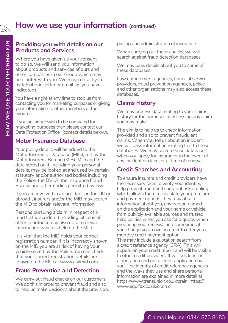# **How we use your information (continued)**

### **Providing you with details on our Products and Services**

Where you have given us your consent to do so, we will send you information about products and services of ours and other companies in our Group which may be of interest to you. We may contact you by telephone, letter or email (as you have indicated)

You have a right at any time to stop us from contacting you for marketing purposes or giving your information to other members of the Group.

If you no longer wish to be contacted for marketing purposes then please contact our Data Protection Officer (contact details below).

### **Motor Insurance Database**

Your policy details will be added to the Motor Insurance Database (MID), run by the Motor Insurers' Bureau (MIB). MID and the data stored on it, including your personal details, may be looked at and used by certain statutory and/or authorised bodies including the Police, the DVLA, the Insurance Fraud Bureau and other bodies permitted by law.

If you are involved in an accident (in the UK or abroad), insurers and/or the MIB may search the MID to obtain relevant information.

Persons pursuing a claim in respect of a road traffic accident (including citizens of other countries) may also obtain relevant information which is held on the MID.

It is vital that the MID holds your correct registration number. If it is incorrectly shown on the MID you are at risk of having your vehicle seized by the Police. You can check that your correct registration details are shown on the MID at www.askmid.com

### **Fraud Prevention and Detection**

We carry out fraud checks on our customers. We do this in order to prevent fraud and also to help us make decisions about the provision, pricing and administration of insurance.

When carrying out these checks, we will search against fraud detection databases.

We may pass details about you to some of these databases.

Law enforcement agencies, financial service providers, fraud prevention agencies, police and other organisations may also access these databases.

### **Claims History**

We may process data relating to your claims history for the purposes of assessing any claim you may make.

The aim is to help us to check information provided and also to prevent fraudulent claims. When you tell us about an incident we will pass information relating to it to these databases. We may search these databases when you apply for insurance, in the event of any incident or claim, or at time of renewal.

### **Credit Searches and Accounting**

To ensure insurers and credit providers have the necessary facts to verify your identity, help prevent fraud and carry out risk profiling which allows them to calculate your premium and payment options, they may obtain information about you, any person named on the application and your home or vehicle from publicly available sources and trusted third parties when you ask for a quote, when preparing your renewal and sometimes if you change your cover in order to offer you a monthly credit payment option.

This may include a quotation search from a credit reference agency (CRA). This will appear on your credit report and will be visible to other credit providers. It will be clear it is a quotation and not a credit application by you. The identity of credit reference agencies and the ways they use and share personal information are explained in more detail at https://www.transunion.co.uk/crain, https:// www.equifax.co.uk/crain or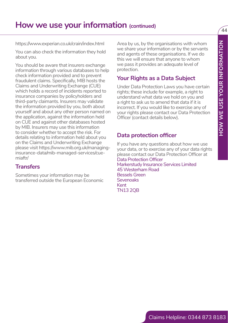# **How we use your information (continued)**

https://www.experian.co.uk/crain/index.html

You can also check the information they hold about you.

Https://www.orgain.co.ukrain/virole.thml Area by us, by the computation of the main the state of your space of your year of your space of your space of your space of your space of your space of your space of the main the s You should be aware that insurers exchange information through various databases to help check information provided and to prevent fraudulent claims. Specifically, MIB hosts the Claims and Underwriting Exchange (CUE) which holds a record of incidents reported to insurance companies by policyholders and third-party claimants. Insurers may validate the information provided by you, both about yourself and about any other person named on the application, against the information held on CUE and against other databases hosted by MIB. Insurers may use this information to consider whether to accept the risk. For details relating to information held about you on the Claims and Underwriting Exchange please visit https://www.mib.org.uk/managinginsurance-data/mib-managed-services/cuemiaftr/

### **Transfers**

Sometimes your information may be transferred outside the European Economic

Area by us, by the organisations with whom we share your information or by the servants and agents of these organisations. If we do this we will ensure that anyone to whom we pass it provides an adequate level of protection.

### **Your Rights as a Data Subject**

Under Data Protection Laws you have certain rights; these include for example, a right to understand what data we hold on you and a right to ask us to amend that data if it is incorrect. If you would like to exercise any of your rights please contact our Data Protection Officer (contact details below).

### **Data protection officer**

If you have any questions about how we use your data, or to exercise any of your data rights please contact our Data Protection Officer at Data Protection Officer Markerstudy Insurance Services Limited 45 Westerham Road Bessels Green **Sevenoaks** Kent TN13 2QB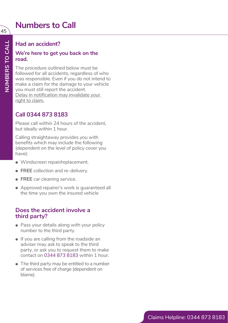### **Numbers to Call**

### **Had an accident?**

#### **We're here to get you back on the road.**

The procedure outlined below must be followed for all accidents, regardless of who was responsible. Even if you do not intend to make a claim for the damage to your vehicle you must still report the accident. Delay in notification may invalidate your right to claim.

### **Call 0344 873 8183**

Please call within 24 hours of the accident, but ideally within 1 hour.

Calling straightaway provides you with benefits which may include the following (dependent on the level of policy cover you have):

- Windscreen repair/replacement.
- **FREE** collection and re-delivery.
- **FREE** car cleaning service.
- Approved repairer's work is guaranteed all the time you own the insured vehicle

### **Does the accident involve a third party?**

- Pass your details along with your policy number to the third party.
- If you are calling from the roadside an adviser may ask to speak to the third party, or ask you to request them to make contact on 0344 873 8183 within 1 hour.
- The third party may be entitled to a number of services free of charge (dependent on blame).